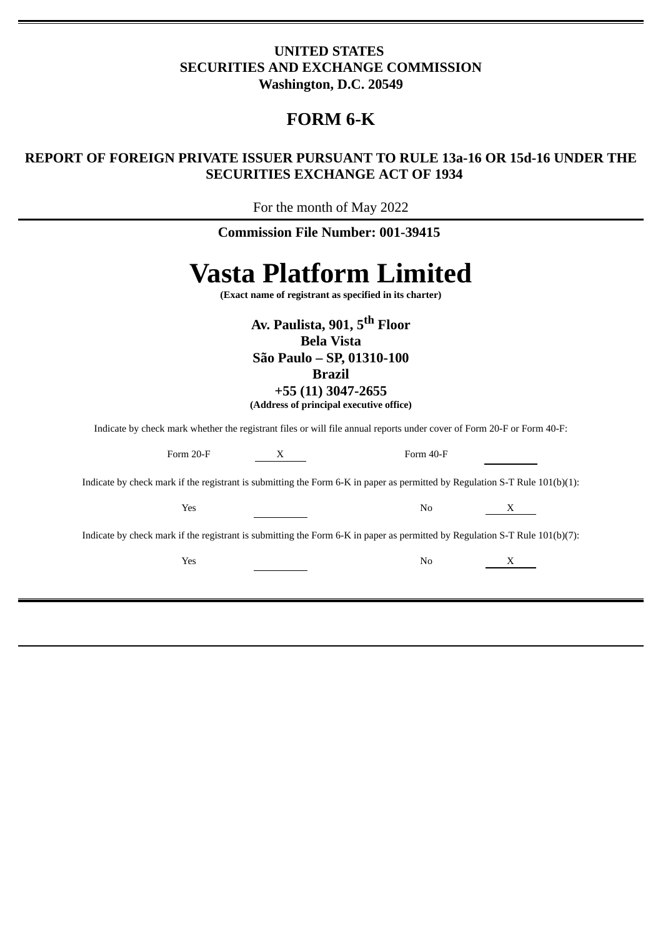# **UNITED STATES SECURITIES AND EXCHANGE COMMISSION Washington, D.C. 20549**

# **FORM 6-K**

# **REPORT OF FOREIGN PRIVATE ISSUER PURSUANT TO RULE 13a-16 OR 15d-16 UNDER THE SECURITIES EXCHANGE ACT OF 1934**

For the month of May 2022

|                                                                                                                                                                              | <b>Commission File Number: 001-39415</b>               |                               |   |
|------------------------------------------------------------------------------------------------------------------------------------------------------------------------------|--------------------------------------------------------|-------------------------------|---|
|                                                                                                                                                                              | (Exact name of registrant as specified in its charter) | <b>Vasta Platform Limited</b> |   |
| Av. Paulista, 901, 5 <sup>th</sup> Floor<br><b>Bela Vista</b><br>São Paulo - SP, 01310-100<br><b>Brazil</b><br>+55 (11) 3047-2655<br>(Address of principal executive office) |                                                        |                               |   |
|                                                                                                                                                                              |                                                        |                               |   |
| Indicate by check mark whether the registrant files or will file annual reports under cover of Form 20-F or Form 40-F:<br>Form 20-F                                          | $X$ <sub>___</sub>                                     | Form 40-F                     |   |
| Indicate by check mark if the registrant is submitting the Form 6-K in paper as permitted by Regulation S-T Rule $101(b)(1)$ :                                               |                                                        |                               |   |
| Yes                                                                                                                                                                          |                                                        | No                            | X |
| Indicate by check mark if the registrant is submitting the Form 6-K in paper as permitted by Regulation S-T Rule 101(b)(7):                                                  |                                                        |                               |   |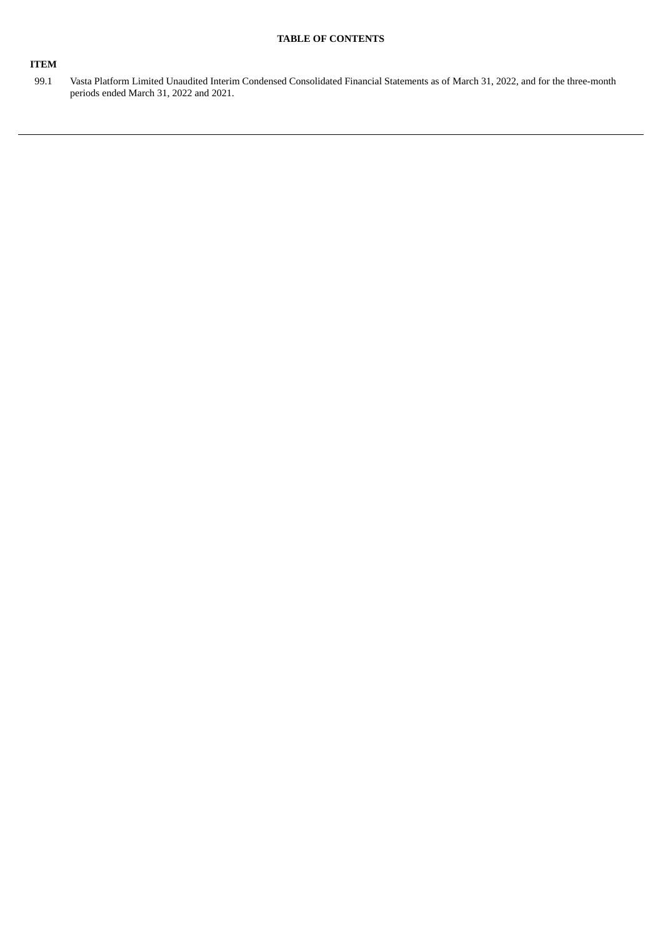# **TABLE OF CONTENTS**

# **ITEM**

99.1 Vasta Platform Limited Unaudited Interim Condensed Consolidated Financial Statements as of March 31, 2022, and for the three-month periods ended March 31, 2022 and 2021.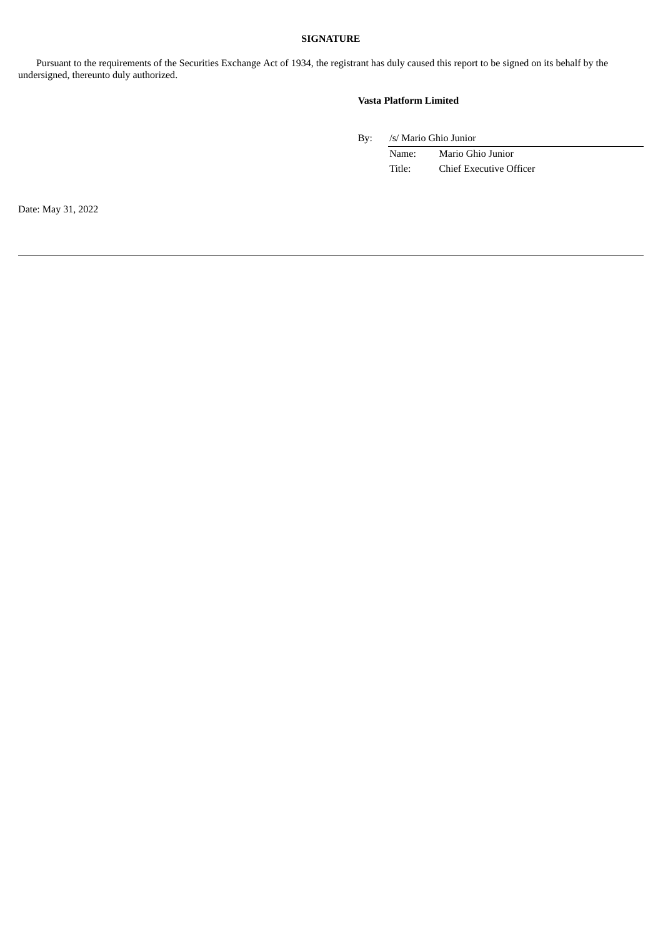# **SIGNATURE**

Pursuant to the requirements of the Securities Exchange Act of 1934, the registrant has duly caused this report to be signed on its behalf by the undersigned, thereunto duly authorized.

#### **Vasta Platform Limited**

By: /s/ Mario Ghio Junior

Name: Mario Ghio Junior Title: Chief Executive Officer

Date: May 31, 2022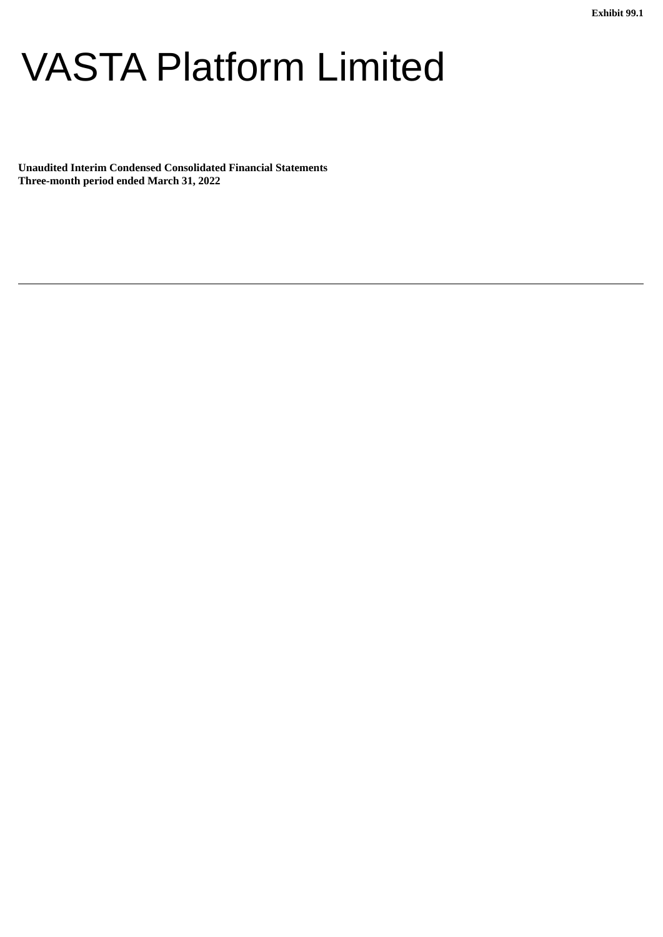# VASTA Platform Limited

**Unaudited Interim Condensed Consolidated Financial Statements Three-month period ended March 31, 2022**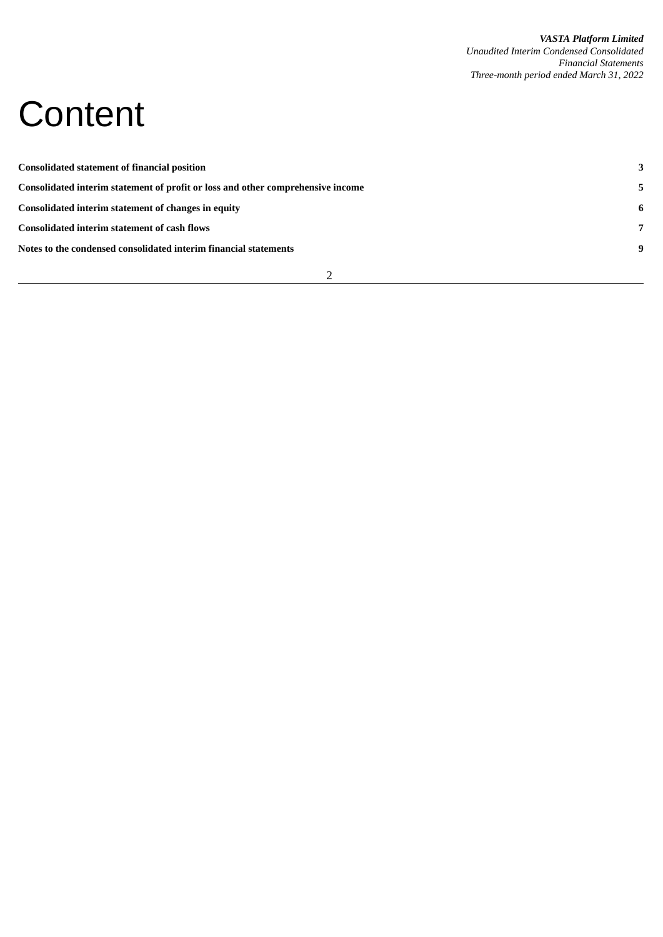# **Content**

| <b>Consolidated statement of financial position</b>                             | 3              |
|---------------------------------------------------------------------------------|----------------|
| Consolidated interim statement of profit or loss and other comprehensive income | 5              |
| Consolidated interim statement of changes in equity                             | -6             |
| <b>Consolidated interim statement of cash flows</b>                             | $\overline{7}$ |
| Notes to the condensed consolidated interim financial statements                | 9              |
|                                                                                 |                |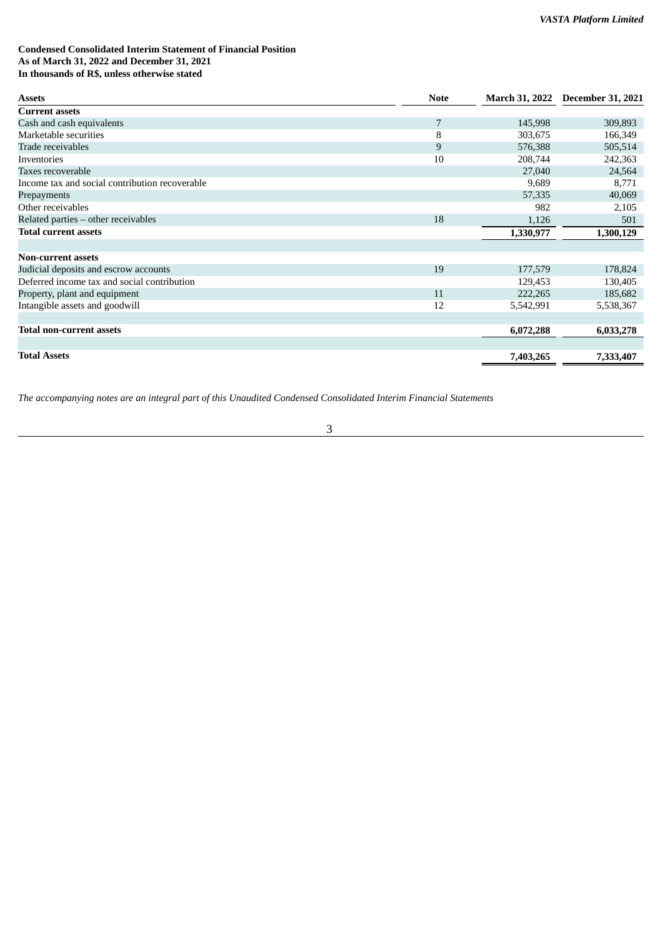# **Condensed Consolidated Interim Statement of Financial Position As of March 31, 2022 and December 31, 2021 In thousands of R\$, unless otherwise stated**

| <b>Assets</b>                                  | <b>Note</b> |           | March 31, 2022 December 31, 2021 |
|------------------------------------------------|-------------|-----------|----------------------------------|
| <b>Current assets</b>                          |             |           |                                  |
| Cash and cash equivalents                      | 7           | 145,998   | 309,893                          |
| Marketable securities                          | 8           | 303,675   | 166,349                          |
| Trade receivables                              | 9           | 576,388   | 505,514                          |
| Inventories                                    | 10          | 208,744   | 242,363                          |
| Taxes recoverable                              |             | 27,040    | 24,564                           |
| Income tax and social contribution recoverable |             | 9,689     | 8,771                            |
| Prepayments                                    |             | 57,335    | 40,069                           |
| Other receivables                              |             | 982       | 2,105                            |
| Related parties - other receivables            | 18          | 1,126     | 501                              |
| <b>Total current assets</b>                    |             | 1,330,977 | 1,300,129                        |
|                                                |             |           |                                  |
| <b>Non-current assets</b>                      |             |           |                                  |
| Judicial deposits and escrow accounts          | 19          | 177,579   | 178,824                          |
| Deferred income tax and social contribution    |             | 129,453   | 130,405                          |
| Property, plant and equipment                  | 11          | 222,265   | 185,682                          |
| Intangible assets and goodwill                 | 12          | 5,542,991 | 5,538,367                        |
|                                                |             |           |                                  |
| <b>Total non-current assets</b>                |             | 6,072,288 | 6,033,278                        |
|                                                |             |           |                                  |
| <b>Total Assets</b>                            |             | 7,403,265 | 7,333,407                        |

*The accompanying notes are an integral part of this Unaudited Condensed Consolidated Interim Financial Statements*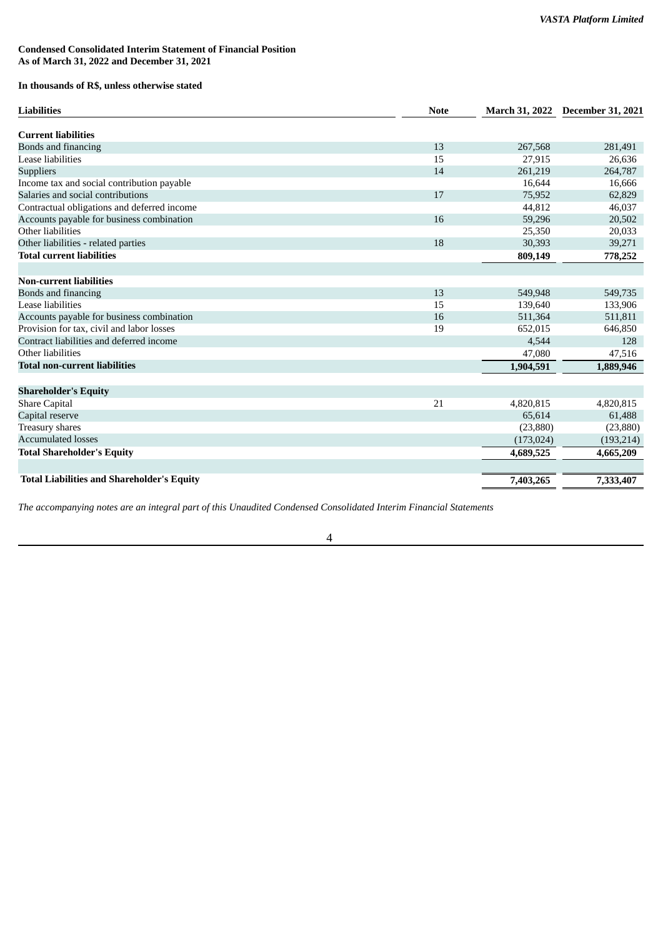## **Condensed Consolidated Interim Statement of Financial Position As of March 31, 2022 and December 31, 2021**

# **In thousands of R\$, unless otherwise stated**

| <b>Liabilities</b>                                | <b>Note</b> |            | March 31, 2022 December 31, 2021 |
|---------------------------------------------------|-------------|------------|----------------------------------|
| <b>Current liabilities</b>                        |             |            |                                  |
| Bonds and financing                               | 13          | 267,568    | 281,491                          |
| Lease liabilities                                 | 15          | 27,915     | 26,636                           |
| <b>Suppliers</b>                                  | 14          | 261,219    | 264,787                          |
| Income tax and social contribution payable        |             | 16,644     | 16,666                           |
| Salaries and social contributions                 | 17          | 75,952     | 62,829                           |
| Contractual obligations and deferred income       |             | 44,812     | 46,037                           |
| Accounts payable for business combination         | 16          | 59,296     | 20,502                           |
| Other liabilities                                 |             | 25,350     | 20,033                           |
| Other liabilities - related parties               | 18          | 30,393     | 39,271                           |
| <b>Total current liabilities</b>                  |             | 809,149    | 778,252                          |
| <b>Non-current liabilities</b>                    |             |            |                                  |
| Bonds and financing                               | 13          | 549,948    | 549,735                          |
| Lease liabilities                                 | 15          | 139,640    | 133,906                          |
| Accounts payable for business combination         | 16          | 511,364    | 511,811                          |
| Provision for tax, civil and labor losses         | 19          | 652,015    | 646,850                          |
| Contract liabilities and deferred income          |             | 4,544      | 128                              |
| Other liabilities                                 |             | 47,080     | 47,516                           |
| <b>Total non-current liabilities</b>              |             |            |                                  |
|                                                   |             | 1,904,591  | 1,889,946                        |
| <b>Shareholder's Equity</b>                       |             |            |                                  |
| <b>Share Capital</b>                              | 21          | 4,820,815  | 4,820,815                        |
| Capital reserve                                   |             | 65,614     | 61,488                           |
| Treasury shares                                   |             | (23, 880)  | (23, 880)                        |
| <b>Accumulated losses</b>                         |             | (173, 024) | (193, 214)                       |
| <b>Total Shareholder's Equity</b>                 |             | 4,689,525  | 4,665,209                        |
|                                                   |             |            |                                  |
| <b>Total Liabilities and Shareholder's Equity</b> |             | 7,403,265  | 7,333,407                        |

*The accompanying notes are an integral part of this Unaudited Condensed Consolidated Interim Financial Statements*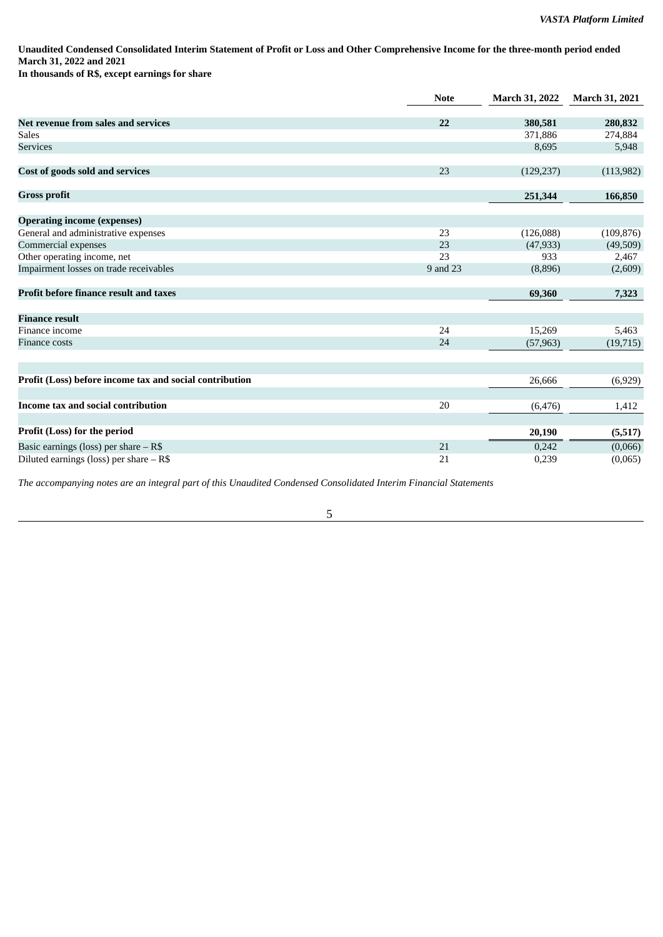Unaudited Condensed Consolidated Interim Statement of Profit or Loss and Other Comprehensive Income for the three-month period ended **March 31, 2022 and 2021 In thousands of R\$, except earnings for share**

|                                                         | <b>Note</b> | <b>March 31, 2022</b> | <b>March 31, 2021</b> |
|---------------------------------------------------------|-------------|-----------------------|-----------------------|
|                                                         |             |                       |                       |
| Net revenue from sales and services                     | 22          | 380,581               | 280,832               |
| <b>Sales</b>                                            |             | 371,886               | 274,884               |
| <b>Services</b>                                         |             | 8,695                 | 5,948                 |
| Cost of goods sold and services                         | 23          | (129, 237)            | (113,982)             |
| <b>Gross profit</b>                                     |             | 251,344               | 166,850               |
| <b>Operating income (expenses)</b>                      |             |                       |                       |
| General and administrative expenses                     | 23          | (126,088)             | (109, 876)            |
| Commercial expenses                                     | 23          | (47, 933)             | (49,509)              |
| Other operating income, net                             | 23          | 933                   | 2,467                 |
| Impairment losses on trade receivables                  | 9 and 23    | (8,896)               | (2,609)               |
| <b>Profit before finance result and taxes</b>           |             | 69,360                | 7,323                 |
| <b>Finance result</b>                                   |             |                       |                       |
| Finance income                                          | 24          | 15,269                | 5,463                 |
| <b>Finance costs</b>                                    | 24          | (57, 963)             | (19, 715)             |
|                                                         |             |                       |                       |
| Profit (Loss) before income tax and social contribution |             | 26,666                | (6,929)               |
| Income tax and social contribution                      | 20          | (6, 476)              | 1,412                 |
|                                                         |             |                       |                       |
| Profit (Loss) for the period                            |             | 20,190                | (5,517)               |
| Basic earnings (loss) per share $-$ R\$                 | 21          | 0,242                 | (0,066)               |
| Diluted earnings (loss) per share $-$ R\$               | 21          | 0,239                 | (0,065)               |

*The accompanying notes are an integral part of this Unaudited Condensed Consolidated Interim Financial Statements*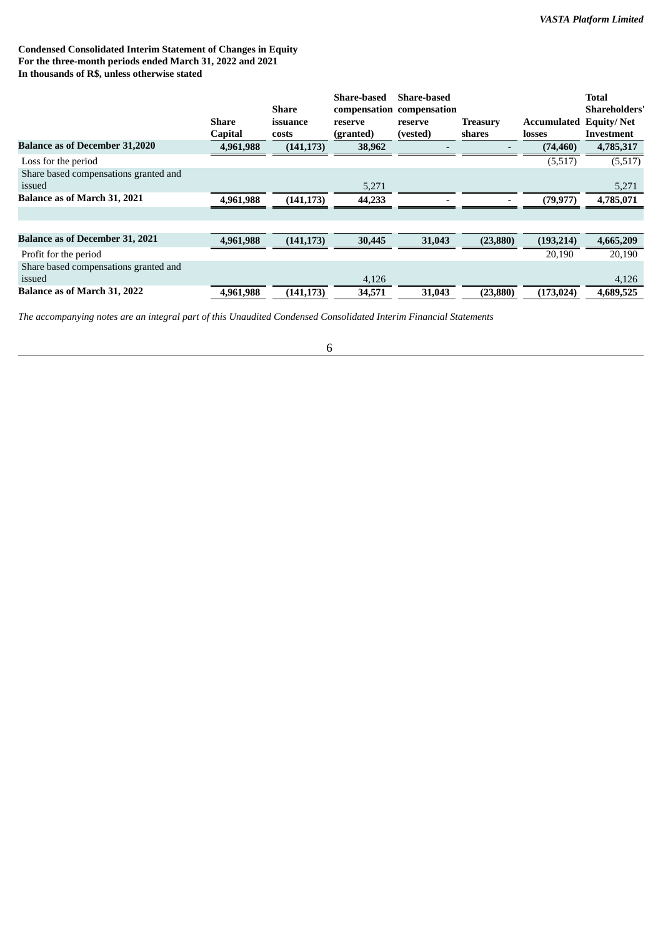# **Condensed Consolidated Interim Statement of Changes in Equity For the three-month periods ended March 31, 2022 and 2021 In thousands of R\$, unless otherwise stated**

|                                        |           |              | <b>Share-based</b> | <b>Share-based</b>        |                 |             | <b>Total</b>         |
|----------------------------------------|-----------|--------------|--------------------|---------------------------|-----------------|-------------|----------------------|
|                                        |           | Share        |                    | compensation compensation |                 |             | <b>Shareholders'</b> |
|                                        | Share     | issuance     | reserve            | reserve                   | <b>Treasury</b> | Accumulated | <b>Equity/Net</b>    |
|                                        | Capital   | <b>costs</b> | (granted)          | (vested)                  | shares          | losses      | Investment           |
| <b>Balance as of December 31,2020</b>  | 4,961,988 | (141, 173)   | 38,962             |                           |                 | (74, 460)   | 4,785,317            |
| Loss for the period                    |           |              |                    |                           |                 | (5,517)     | (5,517)              |
| Share based compensations granted and  |           |              |                    |                           |                 |             |                      |
| issued                                 |           |              | 5,271              |                           |                 |             | 5,271                |
| <b>Balance as of March 31, 2021</b>    | 4,961,988 | (141, 173)   | 44,233             |                           |                 | (79, 977)   | 4,785,071            |
|                                        |           |              |                    |                           |                 |             |                      |
|                                        |           |              |                    |                           |                 |             |                      |
| <b>Balance as of December 31, 2021</b> | 4,961,988 | (141, 173)   | 30,445             | 31,043                    | (23, 880)       | (193, 214)  | 4,665,209            |
| Profit for the period                  |           |              |                    |                           |                 | 20,190      | 20,190               |
| Share based compensations granted and  |           |              |                    |                           |                 |             |                      |
| issued                                 |           |              | 4,126              |                           |                 |             | 4,126                |
| <b>Balance as of March 31, 2022</b>    | 4,961,988 | (141, 173)   | 34,571             | 31,043                    | (23, 880)       | (173, 024)  | 4,689,525            |

*The accompanying notes are an integral part of this Unaudited Condensed Consolidated Interim Financial Statements*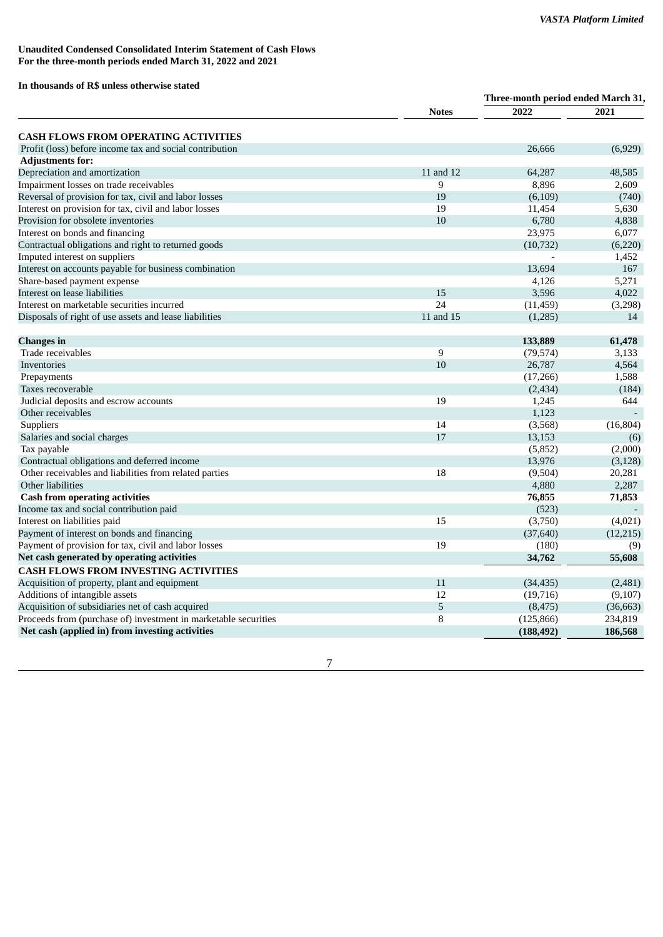# **Unaudited Condensed Consolidated Interim Statement of Cash Flows For the three-month periods ended March 31, 2022 and 2021**

# **In thousands of R\$ unless otherwise stated**

|                                                                 |              | Three-month period ended March 31, |           |  |
|-----------------------------------------------------------------|--------------|------------------------------------|-----------|--|
|                                                                 | <b>Notes</b> | 2022                               | 2021      |  |
| <b>CASH FLOWS FROM OPERATING ACTIVITIES</b>                     |              |                                    |           |  |
| Profit (loss) before income tax and social contribution         |              | 26,666                             | (6,929)   |  |
| <b>Adjustments for:</b>                                         |              |                                    |           |  |
| Depreciation and amortization                                   | 11 and 12    | 64,287                             | 48.585    |  |
| Impairment losses on trade receivables                          | 9            | 8,896                              | 2,609     |  |
| Reversal of provision for tax, civil and labor losses           | 19           | (6,109)                            | (740)     |  |
| Interest on provision for tax, civil and labor losses           | 19           | 11,454                             | 5,630     |  |
| Provision for obsolete inventories                              | 10           | 6,780                              | 4,838     |  |
| Interest on bonds and financing                                 |              | 23,975                             | 6,077     |  |
| Contractual obligations and right to returned goods             |              | (10, 732)                          | (6,220)   |  |
| Imputed interest on suppliers                                   |              |                                    | 1,452     |  |
| Interest on accounts payable for business combination           |              | 13,694                             | 167       |  |
| Share-based payment expense                                     |              | 4,126                              | 5,271     |  |
| Interest on lease liabilities                                   | 15           | 3,596                              | 4,022     |  |
| Interest on marketable securities incurred                      | 24           | (11, 459)                          | (3,298)   |  |
| Disposals of right of use assets and lease liabilities          | 11 and 15    | (1,285)                            | 14        |  |
|                                                                 |              |                                    |           |  |
| <b>Changes</b> in                                               |              | 133,889                            | 61,478    |  |
| Trade receivables                                               | 9            | (79, 574)                          | 3,133     |  |
| Inventories                                                     | 10           | 26,787                             | 4,564     |  |
| Prepayments                                                     |              | (17, 266)                          | 1,588     |  |
| Taxes recoverable                                               |              | (2,434)                            | (184)     |  |
| Judicial deposits and escrow accounts                           | 19           | 1,245                              | 644       |  |
| Other receivables                                               |              | 1,123                              |           |  |
| Suppliers                                                       | 14           | (3,568)                            | (16, 804) |  |
| Salaries and social charges                                     | 17           | 13,153                             | (6)       |  |
| Tax payable                                                     |              | (5, 852)                           | (2,000)   |  |
| Contractual obligations and deferred income                     |              | 13,976                             | (3, 128)  |  |
| Other receivables and liabilities from related parties          | 18           | (9,504)                            | 20,281    |  |
| Other liabilities                                               |              | 4,880                              | 2,287     |  |
| <b>Cash from operating activities</b>                           |              | 76,855                             | 71,853    |  |
| Income tax and social contribution paid                         |              | (523)                              |           |  |
| Interest on liabilities paid                                    | 15           | (3,750)                            | (4,021)   |  |
| Payment of interest on bonds and financing                      |              | (37, 640)                          | (12, 215) |  |
| Payment of provision for tax, civil and labor losses            | 19           | (180)                              | (9)       |  |
| Net cash generated by operating activities                      |              | 34,762                             | 55,608    |  |
| <b>CASH FLOWS FROM INVESTING ACTIVITIES</b>                     |              |                                    |           |  |
| Acquisition of property, plant and equipment                    | 11           | (34, 435)                          | (2,481)   |  |
| Additions of intangible assets                                  | 12           | (19, 716)                          | (9,107)   |  |
| Acquisition of subsidiaries net of cash acquired                | 5            | (8, 475)                           | (36, 663) |  |
| Proceeds from (purchase of) investment in marketable securities | 8            | (125, 866)                         | 234,819   |  |
| Net cash (applied in) from investing activities                 |              | (188, 492)                         | 186,568   |  |
|                                                                 |              |                                    |           |  |

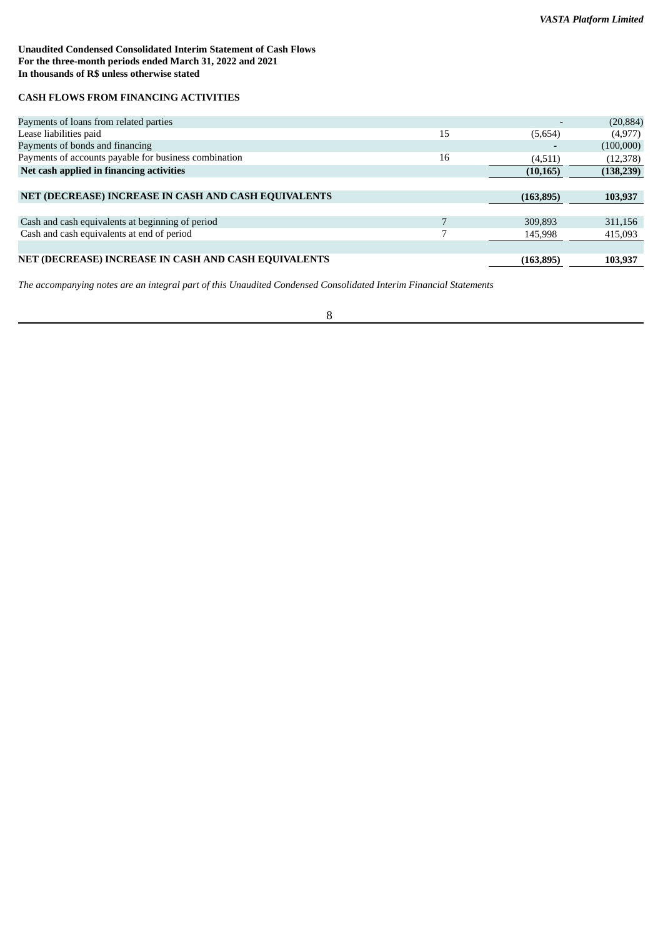# **Unaudited Condensed Consolidated Interim Statement of Cash Flows For the three-month periods ended March 31, 2022 and 2021 In thousands of R\$ unless otherwise stated**

# **CASH FLOWS FROM FINANCING ACTIVITIES**

| Payments of loans from related parties                |    |            | (20, 884)  |
|-------------------------------------------------------|----|------------|------------|
| Lease liabilities paid                                | 15 | (5,654)    | (4,977)    |
| Payments of bonds and financing                       |    |            | (100,000)  |
| Payments of accounts payable for business combination | 16 | (4,511)    | (12, 378)  |
| Net cash applied in financing activities              |    | (10, 165)  | (138, 239) |
|                                                       |    |            |            |
| NET (DECREASE) INCREASE IN CASH AND CASH EQUIVALENTS  |    | (163, 895) | 103,937    |
|                                                       |    |            |            |
| Cash and cash equivalents at beginning of period      |    | 309.893    | 311,156    |
| Cash and cash equivalents at end of period            |    | 145,998    | 415,093    |
|                                                       |    |            |            |
| NET (DECREASE) INCREASE IN CASH AND CASH EQUIVALENTS  |    | (163, 895) | 103,937    |
|                                                       |    |            |            |

*The accompanying notes are an integral part of this Unaudited Condensed Consolidated Interim Financial Statements*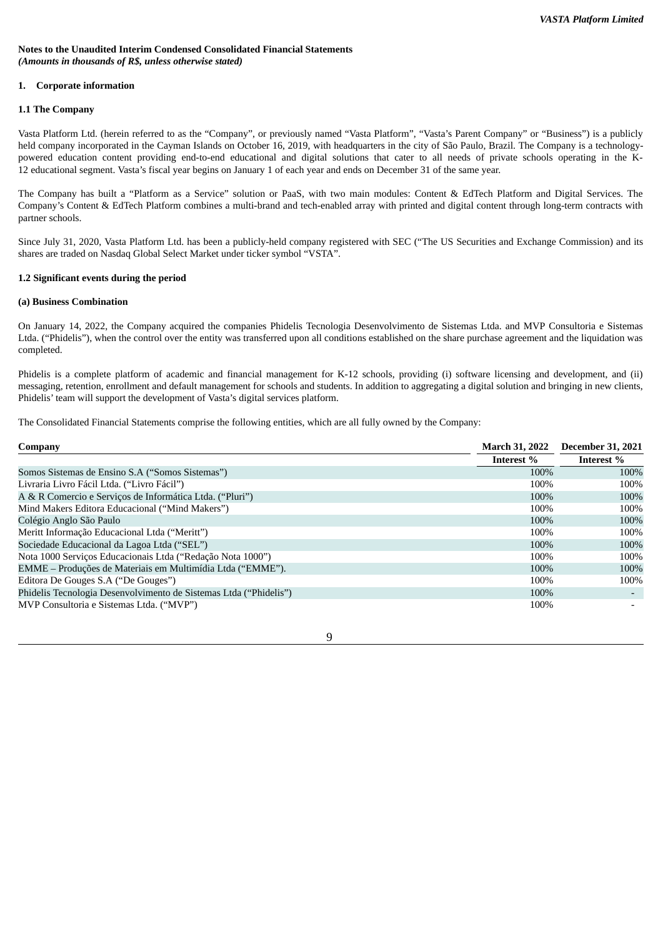#### **Notes to the Unaudited Interim Condensed Consolidated Financial Statements** *(Amounts in thousands of R\$, unless otherwise stated)*

#### **1. Corporate information**

#### **1.1 The Company**

Vasta Platform Ltd. (herein referred to as the "Company", or previously named "Vasta Platform", "Vasta's Parent Company" or "Business") is a publicly held company incorporated in the Cayman Islands on October 16, 2019, with headquarters in the city of São Paulo, Brazil. The Company is a technologypowered education content providing end-to-end educational and digital solutions that cater to all needs of private schools operating in the K-12 educational segment. Vasta's fiscal year begins on January 1 of each year and ends on December 31 of the same year.

The Company has built a "Platform as a Service" solution or PaaS, with two main modules: Content & EdTech Platform and Digital Services. The Company's Content & EdTech Platform combines a multi-brand and tech-enabled array with printed and digital content through long-term contracts with partner schools.

Since July 31, 2020, Vasta Platform Ltd. has been a publicly-held company registered with SEC ("The US Securities and Exchange Commission) and its shares are traded on Nasdaq Global Select Market under ticker symbol "VSTA".

#### **1.2 Significant events during the period**

#### **(a) Business Combination**

On January 14, 2022, the Company acquired the companies Phidelis Tecnologia Desenvolvimento de Sistemas Ltda. and MVP Consultoria e Sistemas Ltda. ("Phidelis"), when the control over the entity was transferred upon all conditions established on the share purchase agreement and the liquidation was completed.

Phidelis is a complete platform of academic and financial management for K-12 schools, providing (i) software licensing and development, and (ii) messaging, retention, enrollment and default management for schools and students. In addition to aggregating a digital solution and bringing in new clients, Phidelis' team will support the development of Vasta's digital services platform.

The Consolidated Financial Statements comprise the following entities, which are all fully owned by the Company:

| Company                                                           | <b>March 31, 2022</b> | <b>December 31, 2021</b> |
|-------------------------------------------------------------------|-----------------------|--------------------------|
|                                                                   | Interest %            | Interest %               |
| Somos Sistemas de Ensino S.A ("Somos Sistemas")                   | 100%                  | 100%                     |
| Livraria Livro Fácil Ltda. ("Livro Fácil")                        | 100%                  | 100%                     |
| A & R Comercio e Serviços de Informática Ltda. ("Pluri")          | 100%                  | 100%                     |
| Mind Makers Editora Educacional ("Mind Makers")                   | 100%                  | 100%                     |
| Colégio Anglo São Paulo                                           | 100%                  | 100%                     |
| Meritt Informação Educacional Ltda ("Meritt")                     | 100%                  | 100%                     |
| Sociedade Educacional da Lagoa Ltda ("SEL")                       | 100%                  | 100%                     |
| Nota 1000 Serviços Educacionais Ltda ("Redação Nota 1000")        | 100%                  | 100%                     |
| EMME - Produções de Materiais em Multimídia Ltda ("EMME").        | 100%                  | 100%                     |
| Editora De Gouges S.A ("De Gouges")                               | 100%                  | 100%                     |
| Phidelis Tecnologia Desenvolvimento de Sistemas Ltda ("Phidelis") | 100%                  | $\overline{\phantom{a}}$ |
| MVP Consultoria e Sistemas Ltda. ("MVP")                          | 100%                  |                          |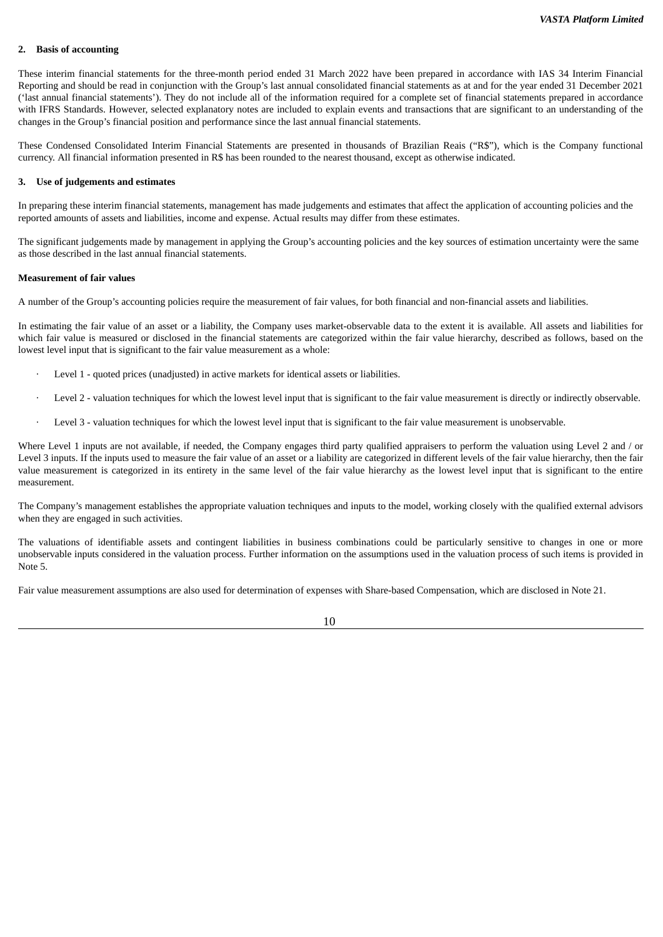#### **2. Basis of accounting**

These interim financial statements for the three-month period ended 31 March 2022 have been prepared in accordance with IAS 34 Interim Financial Reporting and should be read in conjunction with the Group's last annual consolidated financial statements as at and for the year ended 31 December 2021 ('last annual financial statements'). They do not include all of the information required for a complete set of financial statements prepared in accordance with IFRS Standards. However, selected explanatory notes are included to explain events and transactions that are significant to an understanding of the changes in the Group's financial position and performance since the last annual financial statements.

These Condensed Consolidated Interim Financial Statements are presented in thousands of Brazilian Reais ("R\$"), which is the Company functional currency. All financial information presented in R\$ has been rounded to the nearest thousand, except as otherwise indicated.

#### **3. Use of judgements and estimates**

In preparing these interim financial statements, management has made judgements and estimates that affect the application of accounting policies and the reported amounts of assets and liabilities, income and expense. Actual results may differ from these estimates.

The significant judgements made by management in applying the Group's accounting policies and the key sources of estimation uncertainty were the same as those described in the last annual financial statements.

#### **Measurement of fair values**

A number of the Group's accounting policies require the measurement of fair values, for both financial and non-financial assets and liabilities.

In estimating the fair value of an asset or a liability, the Company uses market-observable data to the extent it is available. All assets and liabilities for which fair value is measured or disclosed in the financial statements are categorized within the fair value hierarchy, described as follows, based on the lowest level input that is significant to the fair value measurement as a whole:

- Level 1 quoted prices (unadjusted) in active markets for identical assets or liabilities.
- Level 2 valuation techniques for which the lowest level input that is significant to the fair value measurement is directly or indirectly observable.
- Level 3 valuation techniques for which the lowest level input that is significant to the fair value measurement is unobservable.

Where Level 1 inputs are not available, if needed, the Company engages third party qualified appraisers to perform the valuation using Level 2 and / or Level 3 inputs. If the inputs used to measure the fair value of an asset or a liability are categorized in different levels of the fair value hierarchy, then the fair value measurement is categorized in its entirety in the same level of the fair value hierarchy as the lowest level input that is significant to the entire measurement.

The Company's management establishes the appropriate valuation techniques and inputs to the model, working closely with the qualified external advisors when they are engaged in such activities.

The valuations of identifiable assets and contingent liabilities in business combinations could be particularly sensitive to changes in one or more unobservable inputs considered in the valuation process. Further information on the assumptions used in the valuation process of such items is provided in Note 5.

Fair value measurement assumptions are also used for determination of expenses with Share-based Compensation, which are disclosed in Note 21.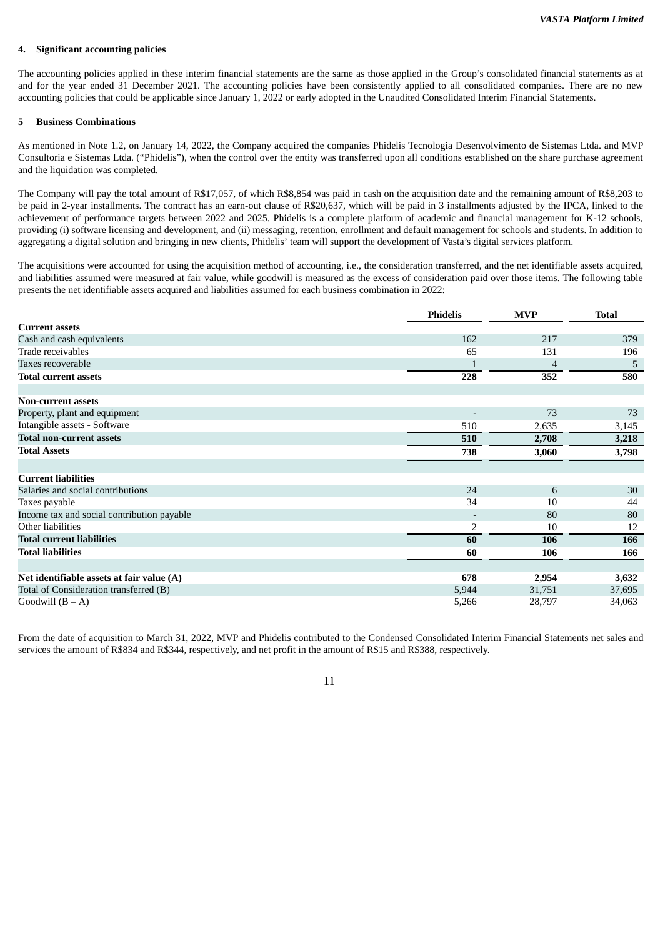#### **4. Significant accounting policies**

The accounting policies applied in these interim financial statements are the same as those applied in the Group's consolidated financial statements as at and for the year ended 31 December 2021. The accounting policies have been consistently applied to all consolidated companies. There are no new accounting policies that could be applicable since January 1, 2022 or early adopted in the Unaudited Consolidated Interim Financial Statements.

#### **5 Business Combinations**

As mentioned in Note 1.2, on January 14, 2022, the Company acquired the companies Phidelis Tecnologia Desenvolvimento de Sistemas Ltda. and MVP Consultoria e Sistemas Ltda. ("Phidelis"), when the control over the entity was transferred upon all conditions established on the share purchase agreement and the liquidation was completed.

The Company will pay the total amount of R\$17,057, of which R\$8,854 was paid in cash on the acquisition date and the remaining amount of R\$8,203 to be paid in 2-year installments. The contract has an earn-out clause of R\$20,637, which will be paid in 3 installments adjusted by the IPCA, linked to the achievement of performance targets between 2022 and 2025. Phidelis is a complete platform of academic and financial management for K-12 schools, providing (i) software licensing and development, and (ii) messaging, retention, enrollment and default management for schools and students. In addition to aggregating a digital solution and bringing in new clients, Phidelis' team will support the development of Vasta's digital services platform.

The acquisitions were accounted for using the acquisition method of accounting, i.e., the consideration transferred, and the net identifiable assets acquired, and liabilities assumed were measured at fair value, while goodwill is measured as the excess of consideration paid over those items. The following table presents the net identifiable assets acquired and liabilities assumed for each business combination in 2022:

|                                            | <b>Phidelis</b>          | <b>MVP</b> | <b>Total</b> |
|--------------------------------------------|--------------------------|------------|--------------|
| <b>Current assets</b>                      |                          |            |              |
| Cash and cash equivalents                  | 162                      | 217        | 379          |
| Trade receivables                          | 65                       | 131        | 196          |
| Taxes recoverable                          |                          | 4          | 5            |
| <b>Total current assets</b>                | 228                      | 352        | 580          |
| <b>Non-current assets</b>                  |                          |            |              |
| Property, plant and equipment              |                          | 73         | 73           |
| Intangible assets - Software               | 510                      | 2,635      | 3,145        |
| <b>Total non-current assets</b>            | 510                      | 2,708      | 3,218        |
| <b>Total Assets</b>                        | 738                      | 3,060      | 3,798        |
|                                            |                          |            |              |
| <b>Current liabilities</b>                 |                          |            |              |
| Salaries and social contributions          | 24                       | 6          | 30           |
| Taxes payable                              | 34                       | 10         | 44           |
| Income tax and social contribution payable | $\overline{\phantom{a}}$ | 80         | 80           |
| Other liabilities                          | $\overline{2}$           | 10         | 12           |
| <b>Total current liabilities</b>           | 60                       | 106        | 166          |
| <b>Total liabilities</b>                   | 60                       | 106        | 166          |
| Net identifiable assets at fair value (A)  | 678                      | 2,954      | 3,632        |
| Total of Consideration transferred (B)     | 5,944                    | 31,751     | 37,695       |
| Goodwill $(B - A)$                         | 5,266                    | 28,797     | 34,063       |

From the date of acquisition to March 31, 2022, MVP and Phidelis contributed to the Condensed Consolidated Interim Financial Statements net sales and services the amount of R\$834 and R\$344, respectively, and net profit in the amount of R\$15 and R\$388, respectively.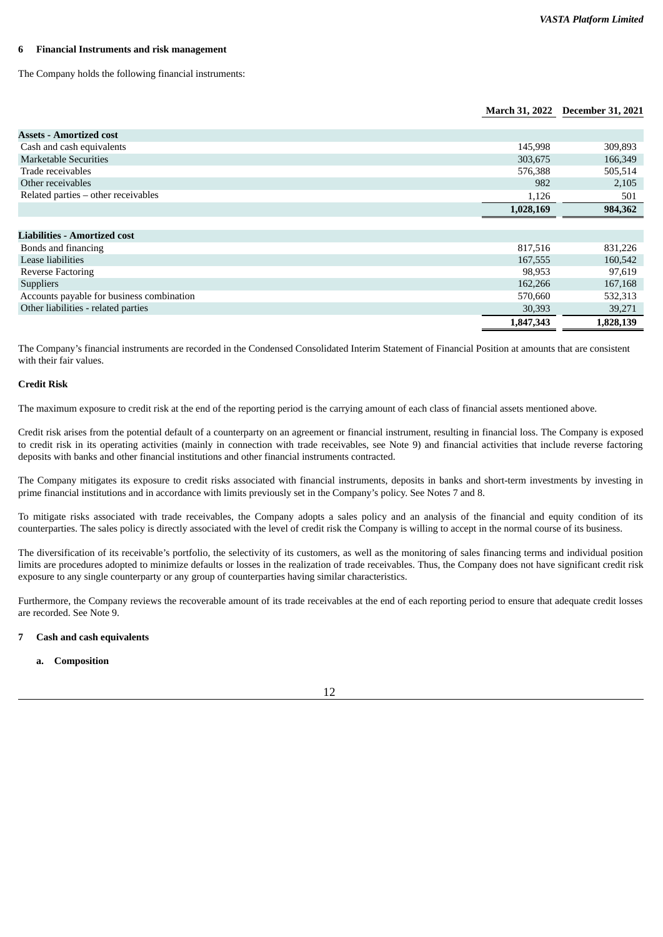#### **6 Financial Instruments and risk management**

The Company holds the following financial instruments:

#### **March 31, 2022 December 31, 2021**

| <b>Assets - Amortized cost</b>            |           |           |
|-------------------------------------------|-----------|-----------|
| Cash and cash equivalents                 | 145,998   | 309,893   |
| <b>Marketable Securities</b>              | 303,675   | 166,349   |
| Trade receivables                         | 576,388   | 505,514   |
| Other receivables                         | 982       | 2,105     |
| Related parties - other receivables       | 1,126     | 501       |
|                                           | 1,028,169 | 984,362   |
|                                           |           |           |
| <b>Liabilities - Amortized cost</b>       |           |           |
| Bonds and financing                       | 817,516   | 831,226   |
| Lease liabilities                         | 167,555   | 160,542   |
| <b>Reverse Factoring</b>                  | 98,953    | 97,619    |
| <b>Suppliers</b>                          | 162,266   | 167,168   |
| Accounts payable for business combination | 570,660   | 532,313   |
| Other liabilities - related parties       | 30,393    | 39,271    |
|                                           | 1,847,343 | 1,828,139 |

The Company's financial instruments are recorded in the Condensed Consolidated Interim Statement of Financial Position at amounts that are consistent with their fair values.

#### **Credit Risk**

The maximum exposure to credit risk at the end of the reporting period is the carrying amount of each class of financial assets mentioned above.

Credit risk arises from the potential default of a counterparty on an agreement or financial instrument, resulting in financial loss. The Company is exposed to credit risk in its operating activities (mainly in connection with trade receivables, see Note 9) and financial activities that include reverse factoring deposits with banks and other financial institutions and other financial instruments contracted.

The Company mitigates its exposure to credit risks associated with financial instruments, deposits in banks and short-term investments by investing in prime financial institutions and in accordance with limits previously set in the Company's policy. See Notes 7 and 8.

To mitigate risks associated with trade receivables, the Company adopts a sales policy and an analysis of the financial and equity condition of its counterparties. The sales policy is directly associated with the level of credit risk the Company is willing to accept in the normal course of its business.

The diversification of its receivable's portfolio, the selectivity of its customers, as well as the monitoring of sales financing terms and individual position limits are procedures adopted to minimize defaults or losses in the realization of trade receivables. Thus, the Company does not have significant credit risk exposure to any single counterparty or any group of counterparties having similar characteristics.

Furthermore, the Company reviews the recoverable amount of its trade receivables at the end of each reporting period to ensure that adequate credit losses are recorded. See Note 9.

#### **7 Cash and cash equivalents**

**a. Composition**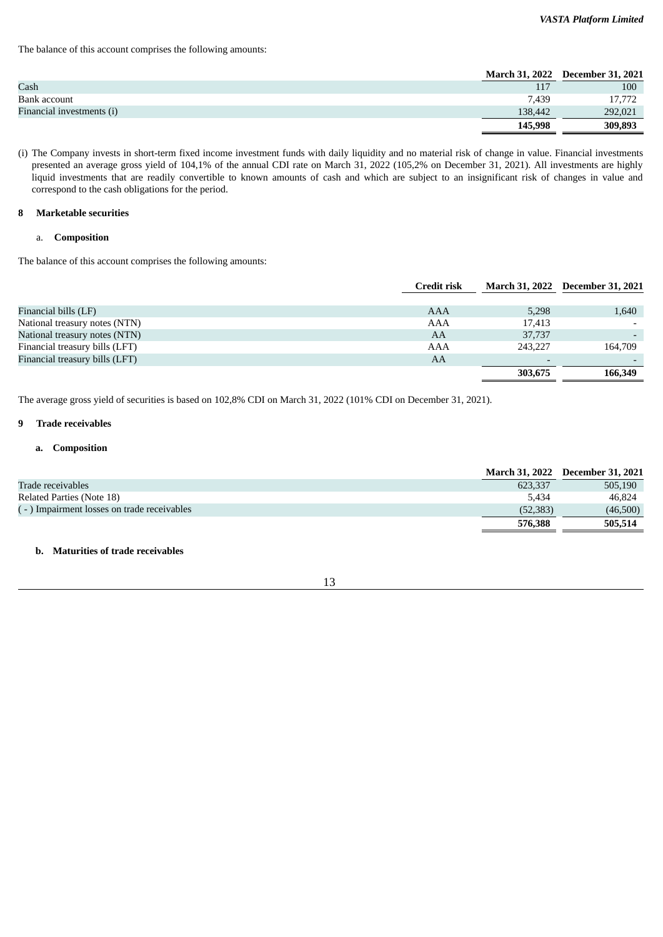The balance of this account comprises the following amounts:

|                           |         | March 31, 2022 December 31, 2021 |
|---------------------------|---------|----------------------------------|
| Cash                      | 117     | 100                              |
| Bank account              | 7.439   | 17,772                           |
| Financial investments (i) | 138.442 | 292,021                          |
|                           | 145,998 | 309,893                          |

(i) The Company invests in short-term fixed income investment funds with daily liquidity and no material risk of change in value. Financial investments presented an average gross yield of 104,1% of the annual CDI rate on March 31, 2022 (105,2% on December 31, 2021). All investments are highly liquid investments that are readily convertible to known amounts of cash and which are subject to an insignificant risk of changes in value and correspond to the cash obligations for the period.

#### **8 Marketable securities**

#### a. **Composition**

The balance of this account comprises the following amounts:

|                                | <b>Credit risk</b> |                          | March 31, 2022 December 31, 2021 |
|--------------------------------|--------------------|--------------------------|----------------------------------|
|                                |                    |                          |                                  |
| Financial bills (LF)           | AAA                | 5,298                    | 1,640                            |
| National treasury notes (NTN)  | AAA                | 17,413                   |                                  |
| National treasury notes (NTN)  | AA                 | 37,737                   |                                  |
| Financial treasury bills (LFT) | AAA                | 243,227                  | 164,709                          |
| Financial treasury bills (LFT) | AA                 | $\overline{\phantom{0}}$ |                                  |
|                                |                    | 303,675                  | 166,349                          |

The average gross yield of securities is based on 102,8% CDI on March 31, 2022 (101% CDI on December 31, 2021).

#### **9 Trade receivables**

#### **a. Composition**

|                                              |           | March 31, 2022 December 31, 2021 |
|----------------------------------------------|-----------|----------------------------------|
| Trade receivables                            | 623.337   | 505,190                          |
| Related Parties (Note 18)                    | 5.434     | 46.824                           |
| ( - ) Impairment losses on trade receivables | (52, 383) | (46,500)                         |
|                                              | 576,388   | 505,514                          |

# **b. Maturities of trade receivables**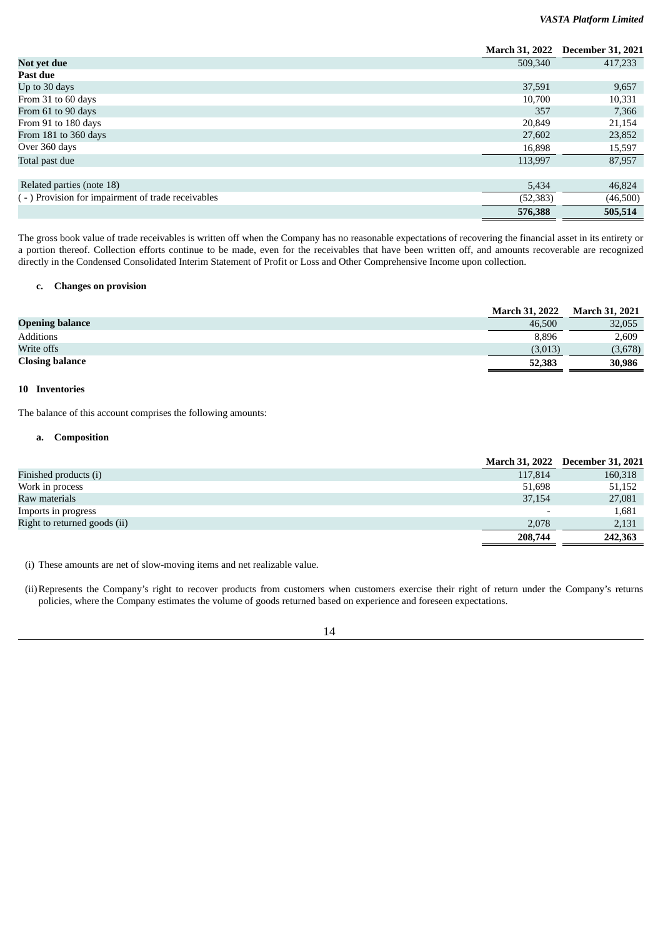#### *VASTA Platform Limited*

|                                                   | <b>March 31, 2022</b> | <b>December 31, 2021</b> |
|---------------------------------------------------|-----------------------|--------------------------|
| Not yet due                                       | 509,340               | 417,233                  |
| Past due                                          |                       |                          |
| Up to 30 days                                     | 37,591                | 9,657                    |
| From 31 to 60 days                                | 10,700                | 10,331                   |
| From 61 to 90 days                                | 357                   | 7,366                    |
| From 91 to 180 days                               | 20,849                | 21,154                   |
| From 181 to 360 days                              | 27,602                | 23,852                   |
| Over 360 days                                     | 16,898                | 15,597                   |
| Total past due                                    | 113,997               | 87,957                   |
|                                                   |                       |                          |
| Related parties (note 18)                         | 5,434                 | 46,824                   |
| (-) Provision for impairment of trade receivables | (52, 383)             | (46,500)                 |
|                                                   | 576,388               | 505,514                  |

The gross book value of trade receivables is written off when the Company has no reasonable expectations of recovering the financial asset in its entirety or a portion thereof. Collection efforts continue to be made, even for the receivables that have been written off, and amounts recoverable are recognized directly in the Condensed Consolidated Interim Statement of Profit or Loss and Other Comprehensive Income upon collection.

#### **c. Changes on provision**

|                        | <b>March 31, 2022</b> | <b>March 31, 2021</b> |
|------------------------|-----------------------|-----------------------|
| <b>Opening balance</b> | 46.500                | 32,055                |
| Additions              | 8,896                 | 2,609                 |
| Write offs             | (3,013)               | (3,678)               |
| <b>Closing balance</b> | 52,383                | 30,986                |

# **10 Inventories**

The balance of this account comprises the following amounts:

#### **a. Composition**

|                              |                          | March 31, 2022 December 31, 2021 |
|------------------------------|--------------------------|----------------------------------|
| Finished products (i)        | 117,814                  | 160,318                          |
| Work in process              | 51,698                   | 51,152                           |
| Raw materials                | 37,154                   | 27,081                           |
| Imports in progress          | $\overline{\phantom{0}}$ | 1,681                            |
| Right to returned goods (ii) | 2.078                    | 2,131                            |
|                              | 208,744                  | 242,363                          |

(i) These amounts are net of slow-moving items and net realizable value.

(ii)Represents the Company's right to recover products from customers when customers exercise their right of return under the Company's returns policies, where the Company estimates the volume of goods returned based on experience and foreseen expectations.

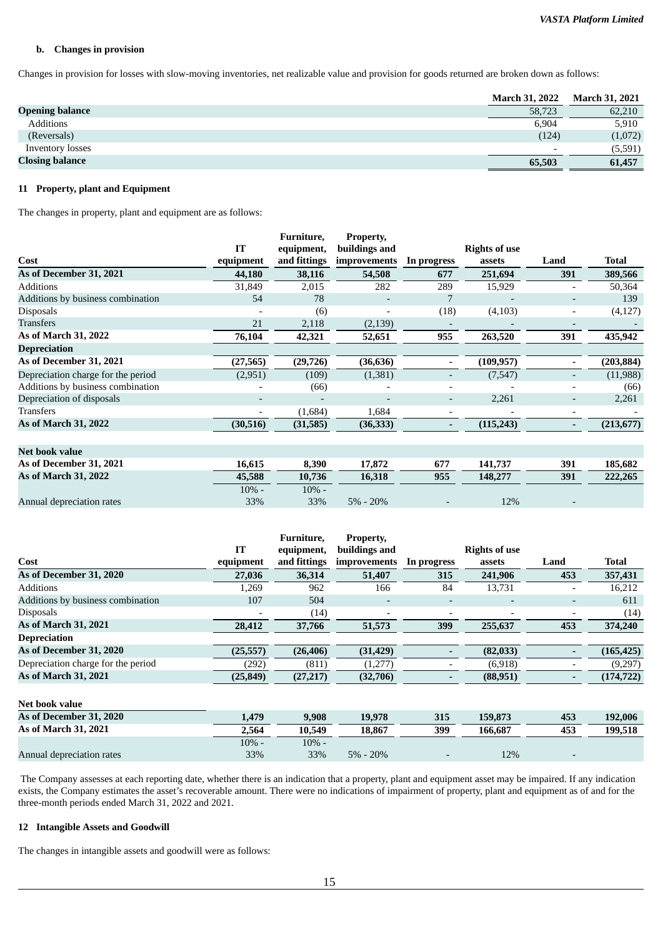#### **b. Changes in provision**

Changes in provision for losses with slow-moving inventories, net realizable value and provision for goods returned are broken down as follows:

|                        | <b>March 31, 2022</b>    | <b>March 31, 2021</b> |
|------------------------|--------------------------|-----------------------|
| <b>Opening balance</b> | 58,723                   | 62,210                |
| <b>Additions</b>       | 6,904                    | 5,910                 |
| (Reversals)            | (124)                    | (1,072)               |
| Inventory losses       | $\overline{\phantom{0}}$ | (5,591)               |
| <b>Closing balance</b> | 65,503                   | 61,457                |

# **11 Property, plant and Equipment**

The changes in property, plant and equipment are as follows:

|                                    |           | Furniture,   | Property,                |                          |                      |                          |            |
|------------------------------------|-----------|--------------|--------------------------|--------------------------|----------------------|--------------------------|------------|
|                                    | IT        | equipment,   | buildings and            |                          | <b>Rights of use</b> |                          |            |
| Cost                               | equipment | and fittings | improvements             | In progress              | assets               | Land                     | Total      |
| As of December 31, 2021            | 44,180    | 38,116       | 54,508                   | 677                      | 251,694              | 391                      | 389,566    |
| Additions                          | 31,849    | 2,015        | 282                      | 289                      | 15,929               |                          | 50,364     |
| Additions by business combination  | 54        | 78           |                          |                          |                      | $\overline{\phantom{a}}$ | 139        |
| <b>Disposals</b>                   |           | (6)          | $\overline{\phantom{a}}$ | (18)                     | (4,103)              | $\overline{\phantom{a}}$ | (4,127)    |
| Transfers                          | 21        | 2,118        | (2, 139)                 |                          |                      | $\overline{\phantom{a}}$ |            |
| As of March 31, 2022               | 76,104    | 42,321       | 52,651                   | 955                      | 263,520              | 391                      | 435,942    |
| <b>Depreciation</b>                |           |              |                          |                          |                      |                          |            |
| As of December 31, 2021            | (27, 565) | (29, 726)    | (36, 636)                | $\overline{\phantom{a}}$ | (109, 957)           | $\overline{\phantom{a}}$ | (203, 884) |
| Depreciation charge for the period | (2,951)   | (109)        | (1, 381)                 |                          | (7,547)              |                          | (11,988)   |
| Additions by business combination  |           | (66)         |                          |                          |                      |                          | (66)       |
| Depreciation of disposals          |           |              |                          | $\overline{\phantom{a}}$ | 2,261                | $\overline{\phantom{a}}$ | 2,261      |
| Transfers                          |           | (1,684)      | 1,684                    |                          |                      | $\overline{\phantom{a}}$ |            |
| As of March 31, 2022               | (30, 516) | (31, 585)    | (36, 333)                | $\overline{\phantom{a}}$ | (115, 243)           | $\overline{\phantom{a}}$ | (213, 677) |
| <b>Net book value</b>              |           |              |                          |                          |                      |                          |            |
| As of December 31, 2021            | 16,615    | 8,390        | 17,872                   | 677                      | 141,737              | 391                      | 185,682    |
| As of March 31, 2022               | 45,588    | 10,736       | 16,318                   | 955                      | 148,277              | 391                      | 222,265    |
|                                    | $10% -$   | $10% -$      |                          |                          |                      |                          |            |
| Annual depreciation rates          | 33%       | 33%          | $5\% - 20\%$             |                          | 12%                  |                          |            |

|                                    |           | Furniture.   | Property,                |                          |                      |                              |              |
|------------------------------------|-----------|--------------|--------------------------|--------------------------|----------------------|------------------------------|--------------|
|                                    | IT        | equipment,   | buildings and            |                          | <b>Rights of use</b> |                              |              |
| Cost                               | equipment | and fittings | improvements             | In progress              | assets               | Land                         | <b>Total</b> |
| As of December 31, 2020            | 27,036    | 36,314       | 51,407                   | 315                      | 241,906              | 453                          | 357,431      |
| <b>Additions</b>                   | 1.269     | 962          | 166                      | 84                       | 13,731               | $\overline{\phantom{a}}$     | 16,212       |
| Additions by business combination  | 107       | 504          | $\overline{a}$           | $\overline{\phantom{0}}$ | -                    | $\qquad \qquad \blacksquare$ | 611          |
| <b>Disposals</b>                   |           | (14)         | $\overline{\phantom{0}}$ |                          |                      | ٠                            | (14)         |
| As of March 31, 2021               | 28,412    | 37,766       | 51,573                   | 399                      | 255,637              | 453                          | 374,240      |
| <b>Depreciation</b>                |           |              |                          |                          |                      |                              |              |
| As of December 31, 2020            | (25, 557) | (26, 406)    | (31, 429)                |                          | (82,033)             | $\qquad \qquad \blacksquare$ | (165, 425)   |
| Depreciation charge for the period | (292)     | (811)        | (1,277)                  |                          | (6,918)              | $\qquad \qquad$              | (9,297)      |
| As of March 31, 2021               | (25, 849) | (27, 217)    | (32,706)                 |                          | (88, 951)            | -                            | (174, 722)   |
| Net book value                     |           |              |                          |                          |                      |                              |              |
| As of December 31, 2020            | 1,479     | 9,908        | 19,978                   | 315                      | 159,873              | 453                          | 192,006      |
| As of March 31, 2021               | 2,564     | 10,549       | 18,867                   | 399                      | 166,687              | 453                          | 199,518      |
|                                    | $10% -$   | $10% -$      |                          |                          |                      |                              |              |
| Annual depreciation rates          | 33%       | 33%          | $5\% - 20\%$             |                          | 12%                  |                              |              |

The Company assesses at each reporting date, whether there is an indication that a property, plant and equipment asset may be impaired. If any indication exists, the Company estimates the asset's recoverable amount. There were no indications of impairment of property, plant and equipment as of and for the three-month periods ended March 31, 2022 and 2021.

#### **12 Intangible Assets and Goodwill**

The changes in intangible assets and goodwill were as follows: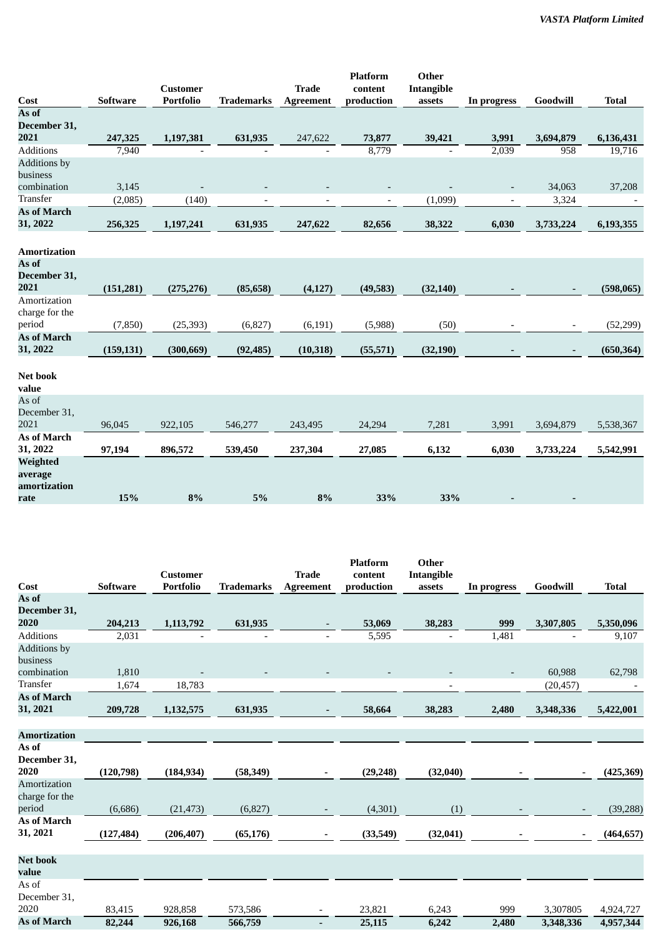|                         |                  | <b>Customer</b>  |                          | <b>Trade</b>     | <b>Platform</b><br>content | Other<br>Intangible |                          |                          |              |
|-------------------------|------------------|------------------|--------------------------|------------------|----------------------------|---------------------|--------------------------|--------------------------|--------------|
| Cost                    | <b>Software</b>  | <b>Portfolio</b> | <b>Trademarks</b>        | <b>Agreement</b> | production                 | assets              | In progress              | Goodwill                 | <b>Total</b> |
| As of                   |                  |                  |                          |                  |                            |                     |                          |                          |              |
| December 31,            |                  |                  |                          |                  |                            |                     |                          |                          |              |
| 2021                    | 247,325          | 1,197,381        | 631,935                  | 247,622          | 73,877                     | 39,421              | 3,991                    | 3,694,879                | 6,136,431    |
| <b>Additions</b>        | 7,940            |                  |                          |                  | 8,779                      |                     | 2,039                    | 958                      | 19,716       |
| <b>Additions</b> by     |                  |                  |                          |                  |                            |                     |                          |                          |              |
| business<br>combination |                  |                  |                          |                  |                            |                     |                          | 34,063                   |              |
| Transfer                | 3,145<br>(2,085) | (140)            |                          |                  |                            | (1,099)             |                          | 3,324                    | 37,208       |
| As of March             |                  |                  | $\overline{\phantom{a}}$ |                  | $\overline{\phantom{a}}$   |                     | $\overline{\phantom{a}}$ |                          |              |
| 31, 2022                | 256,325          | 1,197,241        | 631,935                  | 247,622          | 82,656                     | 38,322              | 6,030                    | 3,733,224                | 6,193,355    |
|                         |                  |                  |                          |                  |                            |                     |                          |                          |              |
| Amortization            |                  |                  |                          |                  |                            |                     |                          |                          |              |
| As of                   |                  |                  |                          |                  |                            |                     |                          |                          |              |
| December 31,            |                  |                  |                          |                  |                            |                     |                          |                          |              |
| 2021                    | (151, 281)       | (275, 276)       | (85, 658)                | (4, 127)         | (49,583)                   | (32, 140)           |                          |                          | (598,065)    |
| Amortization            |                  |                  |                          |                  |                            |                     |                          |                          |              |
| charge for the          |                  |                  |                          |                  |                            |                     |                          |                          |              |
| period                  | (7, 850)         | (25, 393)        | (6,827)                  | (6, 191)         | (5,988)                    | (50)                |                          | $\overline{\phantom{a}}$ | (52, 299)    |
| As of March             |                  |                  |                          |                  |                            |                     |                          |                          |              |
| 31, 2022                | (159, 131)       | (300, 669)       | (92, 485)                | (10, 318)        | (55, 571)                  | (32, 190)           |                          | $\overline{\phantom{a}}$ | (650, 364)   |
|                         |                  |                  |                          |                  |                            |                     |                          |                          |              |
| Net book<br>value       |                  |                  |                          |                  |                            |                     |                          |                          |              |
| As of                   |                  |                  |                          |                  |                            |                     |                          |                          |              |
| December 31,            |                  |                  |                          |                  |                            |                     |                          |                          |              |
| 2021                    | 96,045           | 922,105          | 546,277                  | 243,495          | 24,294                     | 7,281               | 3,991                    | 3,694,879                | 5,538,367    |
| As of March             |                  |                  |                          |                  |                            |                     |                          |                          |              |
| 31, 2022                | 97,194           | 896,572          | 539,450                  | 237,304          | 27,085                     | 6,132               | 6,030                    | 3,733,224                | 5,542,991    |
| Weighted                |                  |                  |                          |                  |                            |                     |                          |                          |              |
| average                 |                  |                  |                          |                  |                            |                     |                          |                          |              |
| amortization            |                  |                  |                          |                  |                            |                     |                          |                          |              |
| rate                    | 15%              | 8%               | 5%                       | 8%               | 33%                        | 33%                 |                          |                          |              |

|                                 |                 |                                     |                   |                                  | <b>Platform</b>       | Other                       |             |                          |              |
|---------------------------------|-----------------|-------------------------------------|-------------------|----------------------------------|-----------------------|-----------------------------|-------------|--------------------------|--------------|
| Cost                            | <b>Software</b> | <b>Customer</b><br><b>Portfolio</b> | <b>Trademarks</b> | <b>Trade</b><br><b>Agreement</b> | content<br>production | <b>Intangible</b><br>assets | In progress | Goodwill                 | <b>Total</b> |
| As of                           |                 |                                     |                   |                                  |                       |                             |             |                          |              |
| December 31,                    |                 |                                     |                   |                                  |                       |                             |             |                          |              |
| 2020                            | 204,213         | 1,113,792                           | 631,935           |                                  | 53,069                | 38,283                      | 999         | 3,307,805                | 5,350,096    |
| <b>Additions</b>                | 2,031           |                                     |                   |                                  | 5,595                 | $\overline{a}$              | 1,481       |                          | 9,107        |
| <b>Additions</b> by<br>business |                 |                                     |                   |                                  |                       |                             |             |                          |              |
| combination                     | 1,810           |                                     |                   |                                  |                       |                             |             | 60,988                   | 62,798       |
| <b>Transfer</b>                 | 1,674           | 18,783                              |                   |                                  |                       |                             |             | (20, 457)                |              |
| <b>As of March</b>              |                 |                                     |                   |                                  |                       |                             |             |                          |              |
| 31, 2021                        | 209,728         | 1,132,575                           | 631,935           |                                  | 58,664                | 38,283                      | 2,480       | 3,348,336                | 5,422,001    |
|                                 |                 |                                     |                   |                                  |                       |                             |             |                          |              |
| <b>Amortization</b>             |                 |                                     |                   |                                  |                       |                             |             |                          |              |
| As of                           |                 |                                     |                   |                                  |                       |                             |             |                          |              |
| December 31,<br>2020            | (120, 798)      | (184, 934)                          | (58, 349)         |                                  | (29, 248)             | (32,040)                    |             |                          | (425, 369)   |
| Amortization                    |                 |                                     |                   |                                  |                       |                             |             |                          |              |
| charge for the                  |                 |                                     |                   |                                  |                       |                             |             |                          |              |
| period                          | (6,686)         | (21, 473)                           | (6,827)           |                                  | (4,301)               | (1)                         |             | $\overline{\phantom{a}}$ | (39, 288)    |
| <b>As of March</b>              |                 |                                     |                   |                                  |                       |                             |             |                          |              |
| 31, 2021                        | (127, 484)      | (206, 407)                          | (65, 176)         |                                  | (33,549)              | (32, 041)                   |             | $\overline{\phantom{a}}$ | (464, 657)   |
|                                 |                 |                                     |                   |                                  |                       |                             |             |                          |              |
| <b>Net book</b><br>value        |                 |                                     |                   |                                  |                       |                             |             |                          |              |
| As of<br>December 31,           |                 |                                     |                   |                                  |                       |                             |             |                          |              |
| 2020                            | 83,415          | 928,858                             | 573,586           | $\overline{\phantom{a}}$         | 23,821                | 6,243                       | 999         | 3,307805                 | 4,924,727    |
| <b>As of March</b>              | 82,244          | 926,168                             | 566,759           |                                  | 25,115                | 6,242                       | 2,480       | 3,348,336                | 4,957,344    |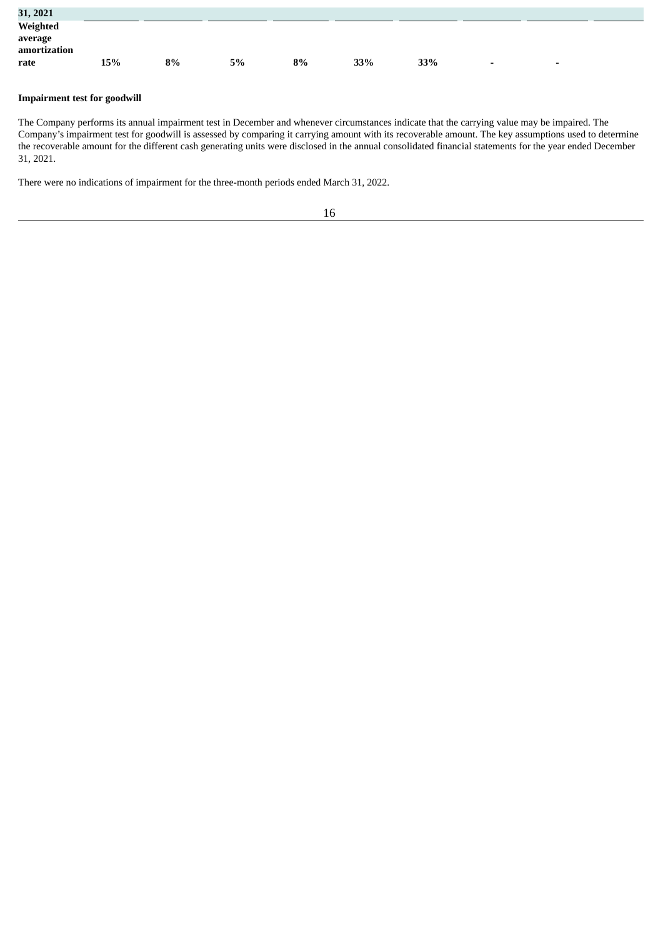| 31, 2021                |     |    |    |    |     |     |                          |                          |  |
|-------------------------|-----|----|----|----|-----|-----|--------------------------|--------------------------|--|
| Weighted                |     |    |    |    |     |     |                          |                          |  |
| average<br>amortization |     |    |    |    |     |     |                          |                          |  |
| rate                    | 15% | 8% | 5% | 8% | 33% | 33% | $\overline{\phantom{0}}$ | $\overline{\phantom{0}}$ |  |

# **Impairment test for goodwill**

The Company performs its annual impairment test in December and whenever circumstances indicate that the carrying value may be impaired. The Company's impairment test for goodwill is assessed by comparing it carrying amount with its recoverable amount. The key assumptions used to determine the recoverable amount for the different cash generating units were disclosed in the annual consolidated financial statements for the year ended December 31, 2021.

There were no indications of impairment for the three-month periods ended March 31, 2022.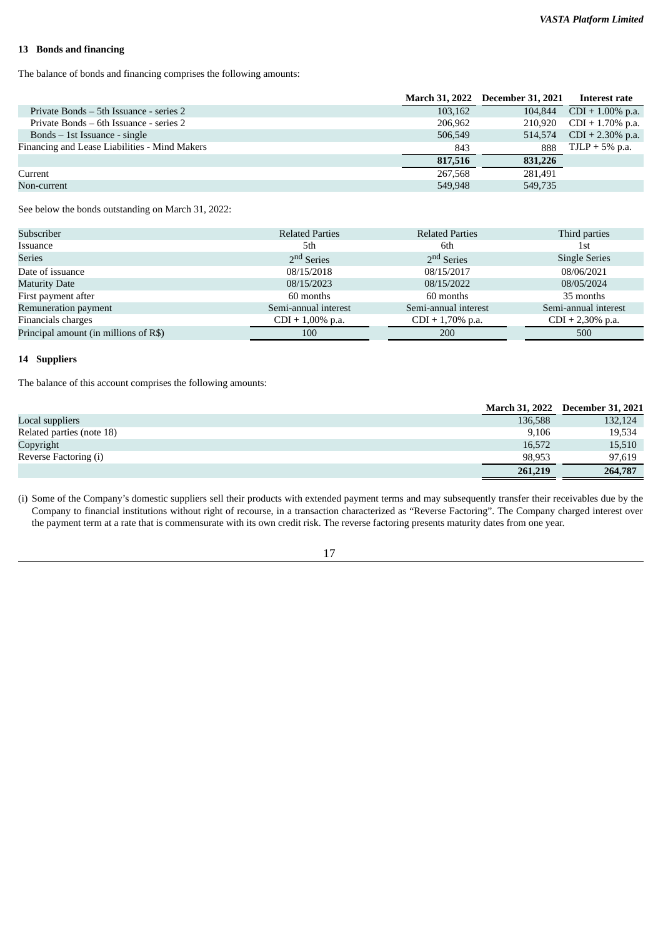#### **13 Bonds and financing**

The balance of bonds and financing comprises the following amounts:

|                                               |         | March 31, 2022 December 31, 2021 Interest rate |                          |
|-----------------------------------------------|---------|------------------------------------------------|--------------------------|
| Private Bonds – 5th Issuance - series 2       | 103,162 | 104,844                                        | $CDI + 1.00\%$ p.a.      |
| Private Bonds – 6th Issuance - series 2       | 206,962 |                                                | 210,920 CDI + 1.70% p.a. |
| Bonds $-$ 1st Issuance - single               | 506,549 | 514,574                                        | $CDI + 2.30\%$ p.a.      |
| Financing and Lease Liabilities - Mind Makers | 843     | 888                                            | $TJLP + 5\%$ p.a.        |
|                                               | 817,516 | 831,226                                        |                          |
| Current                                       | 267,568 | 281.491                                        |                          |
| Non-current                                   | 549.948 | 549,735                                        |                          |

See below the bonds outstanding on March 31, 2022:

| <b>Related Parties</b> | <b>Related Parties</b> | Third parties        |
|------------------------|------------------------|----------------------|
| 5th                    | 6th                    | 1st                  |
| 2 <sup>nd</sup> Series | 2 <sup>nd</sup> Series | <b>Single Series</b> |
| 08/15/2018             | 08/15/2017             | 08/06/2021           |
| 08/15/2023             | 08/15/2022             | 08/05/2024           |
| 60 months              | 60 months              | 35 months            |
| Semi-annual interest   | Semi-annual interest   | Semi-annual interest |
| $CDI + 1,00\%$ p.a.    | $CDI + 1,70\%$ p.a.    | $CDI + 2,30\%$ p.a.  |
| 100                    | 200                    | 500                  |
|                        |                        |                      |

# **14 Suppliers**

The balance of this account comprises the following amounts:

|                           |         | March 31, 2022 December 31, 2021 |
|---------------------------|---------|----------------------------------|
| Local suppliers           | 136,588 | 132,124                          |
| Related parties (note 18) | 9.106   | 19,534                           |
| Copyright                 | 16,572  | 15,510                           |
| Reverse Factoring (i)     | 98.953  | 97,619                           |
|                           | 261,219 | 264,787                          |

(i) Some of the Company's domestic suppliers sell their products with extended payment terms and may subsequently transfer their receivables due by the Company to financial institutions without right of recourse, in a transaction characterized as "Reverse Factoring". The Company charged interest over the payment term at a rate that is commensurate with its own credit risk. The reverse factoring presents maturity dates from one year.

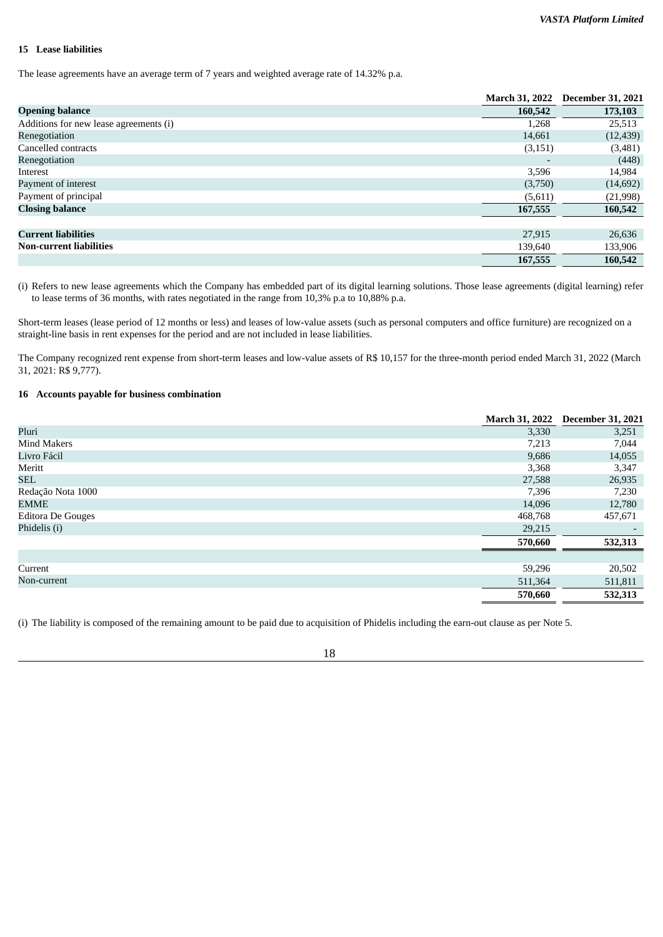#### **15 Lease liabilities**

The lease agreements have an average term of 7 years and weighted average rate of 14.32% p.a.

|                                        | <b>March 31, 2022</b> | <b>December 31, 2021</b> |
|----------------------------------------|-----------------------|--------------------------|
| <b>Opening balance</b>                 | 160,542               | 173,103                  |
| Additions for new lease agreements (i) | 1,268                 | 25,513                   |
| Renegotiation                          | 14,661                | (12, 439)                |
| Cancelled contracts                    | (3, 151)              | (3,481)                  |
| Renegotiation                          |                       | (448)                    |
| Interest                               | 3,596                 | 14,984                   |
| Payment of interest                    | (3,750)               | (14, 692)                |
| Payment of principal                   | (5,611)               | (21, 998)                |
| <b>Closing balance</b>                 | 167,555               | 160,542                  |
| <b>Current liabilities</b>             | 27,915                | 26,636                   |
| <b>Non-current liabilities</b>         | 139,640               | 133,906                  |
|                                        | 167,555               | 160,542                  |

(i) Refers to new lease agreements which the Company has embedded part of its digital learning solutions. Those lease agreements (digital learning) refer to lease terms of 36 months, with rates negotiated in the range from 10,3% p.a to 10,88% p.a.

Short-term leases (lease period of 12 months or less) and leases of low-value assets (such as personal computers and office furniture) are recognized on a straight-line basis in rent expenses for the period and are not included in lease liabilities.

The Company recognized rent expense from short-term leases and low-value assets of R\$ 10,157 for the three-month period ended March 31, 2022 (March 31, 2021: R\$ 9,777).

# **16 Accounts payable for business combination**

|                          | <b>March 31, 2022</b> | <b>December 31, 2021</b> |
|--------------------------|-----------------------|--------------------------|
| Pluri                    | 3,330                 | 3,251                    |
| <b>Mind Makers</b>       | 7,213                 | 7,044                    |
| Livro Fácil              | 9,686                 | 14,055                   |
| Meritt                   | 3,368                 | 3,347                    |
| <b>SEL</b>               | 27,588                | 26,935                   |
| Redação Nota 1000        | 7,396                 | 7,230                    |
| EMME                     | 14,096                | 12,780                   |
| <b>Editora De Gouges</b> | 468,768               | 457,671                  |
| Phidelis (i)             | 29,215                | $\overline{\phantom{0}}$ |
|                          | 570,660               | 532,313                  |
|                          |                       |                          |
| Current                  | 59,296                | 20,502                   |
| Non-current              | 511,364               | 511,811                  |
|                          | 570,660               | 532,313                  |

(i) The liability is composed of the remaining amount to be paid due to acquisition of Phidelis including the earn-out clause as per Note 5.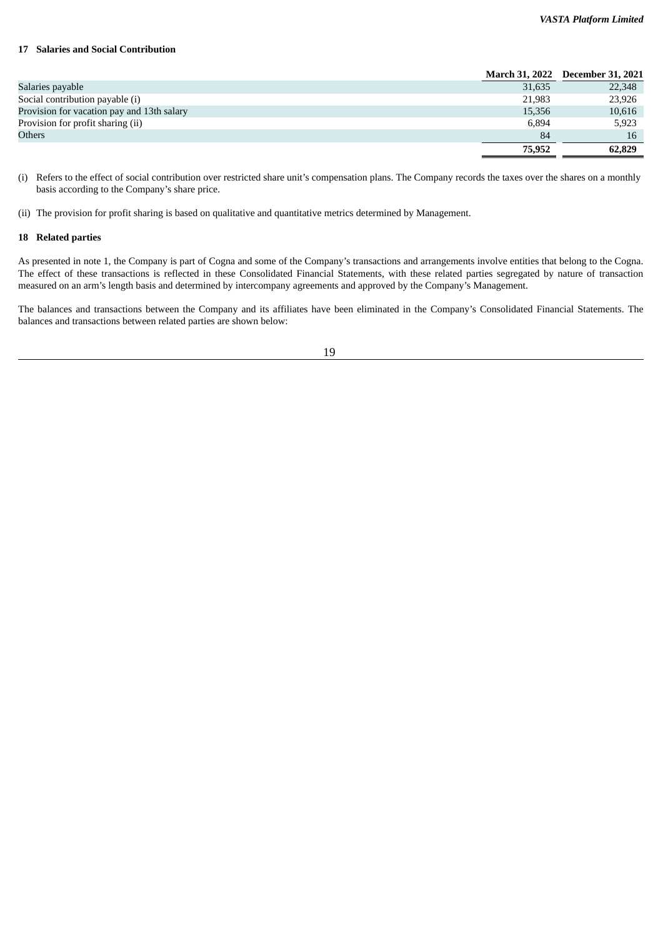#### *VASTA Platform Limited*

#### **17 Salaries and Social Contribution**

|                                            |        | March 31, 2022 December 31, 2021 |
|--------------------------------------------|--------|----------------------------------|
| Salaries payable                           | 31,635 | 22,348                           |
| Social contribution payable (i)            | 21.983 | 23,926                           |
| Provision for vacation pay and 13th salary | 15,356 | 10,616                           |
| Provision for profit sharing (ii)          | 6.894  | 5,923                            |
| <b>Others</b>                              | 84     | 16                               |
|                                            | 75,952 | 62,829                           |

(i) Refers to the effect of social contribution over restricted share unit's compensation plans. The Company records the taxes over the shares on a monthly basis according to the Company's share price.

(ii) The provision for profit sharing is based on qualitative and quantitative metrics determined by Management.

#### **18 Related parties**

As presented in note 1, the Company is part of Cogna and some of the Company's transactions and arrangements involve entities that belong to the Cogna. The effect of these transactions is reflected in these Consolidated Financial Statements, with these related parties segregated by nature of transaction measured on an arm's length basis and determined by intercompany agreements and approved by the Company's Management.

The balances and transactions between the Company and its affiliates have been eliminated in the Company's Consolidated Financial Statements. The balances and transactions between related parties are shown below: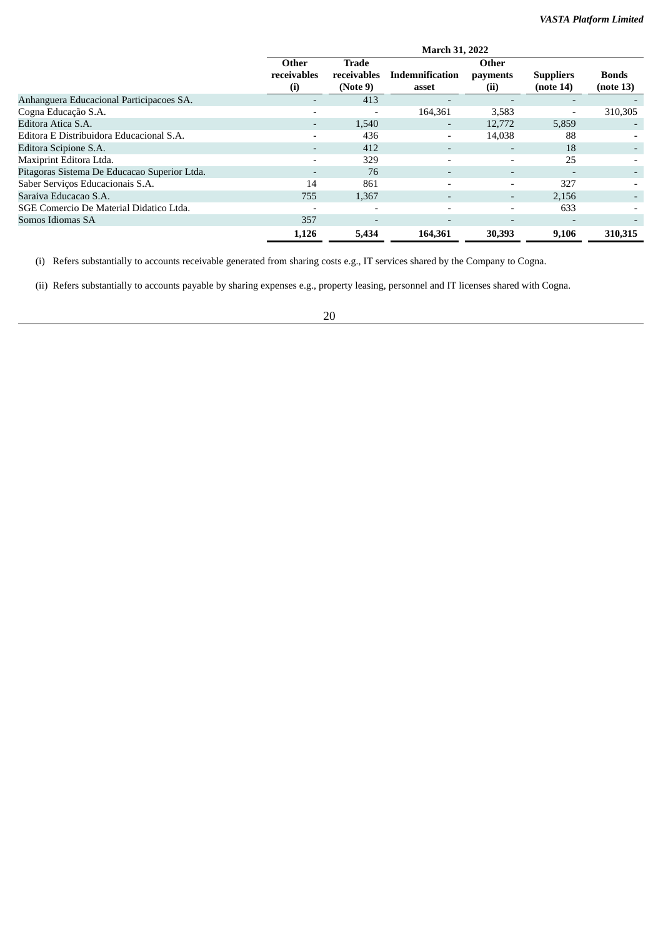|                                              | <b>March 31, 2022</b>    |                          |                              |                          |                          |              |  |  |
|----------------------------------------------|--------------------------|--------------------------|------------------------------|--------------------------|--------------------------|--------------|--|--|
|                                              | Other                    | Trade                    |                              | Other                    |                          |              |  |  |
|                                              | receivables              | receivables              | <b>Indemnification</b>       | payments                 | <b>Suppliers</b>         | <b>Bonds</b> |  |  |
|                                              | $\left( i\right)$        | (Note 9)                 | asset                        | (ii)                     | (note 14)                | (note 13)    |  |  |
| Anhanguera Educacional Participacoes SA.     | $\overline{\phantom{0}}$ | 413                      |                              |                          | $\overline{\phantom{0}}$ |              |  |  |
| Cogna Educação S.A.                          |                          |                          | 164,361                      | 3,583                    | $\overline{\phantom{a}}$ | 310,305      |  |  |
| Editora Atica S.A.                           | ٠                        | 1,540                    | ٠                            | 12,772                   | 5,859                    |              |  |  |
| Editora E Distribuidora Educacional S.A.     | $\overline{\phantom{0}}$ | 436                      | $\qquad \qquad \blacksquare$ | 14,038                   | 88                       |              |  |  |
| Editora Scipione S.A.                        | -                        | 412                      |                              |                          | 18                       |              |  |  |
| Maxiprint Editora Ltda.                      | -                        | 329                      | $\overline{\phantom{0}}$     |                          | 25                       |              |  |  |
| Pitagoras Sistema De Educacao Superior Ltda. | $\overline{\phantom{0}}$ | 76                       | $\overline{\phantom{a}}$     | $\overline{\phantom{a}}$ | $\overline{\phantom{0}}$ |              |  |  |
| Saber Serviços Educacionais S.A.             | 14                       | 861                      | $\overline{\phantom{0}}$     |                          | 327                      |              |  |  |
| Saraiva Educacao S.A.                        | 755                      | 1,367                    | $\overline{\phantom{0}}$     | $\overline{\phantom{0}}$ | 2,156                    |              |  |  |
| SGE Comercio De Material Didatico Ltda.      |                          |                          | $\overline{\phantom{0}}$     |                          | 633                      |              |  |  |
| Somos Idiomas SA                             | 357                      | $\overline{\phantom{a}}$ | $\overline{\phantom{0}}$     |                          | $\overline{\phantom{0}}$ |              |  |  |
|                                              | 1,126                    | 5,434                    | 164,361                      | 30,393                   | 9,106                    | 310,315      |  |  |

(i) Refers substantially to accounts receivable generated from sharing costs e.g., IT services shared by the Company to Cogna.

(ii) Refers substantially to accounts payable by sharing expenses e.g., property leasing, personnel and IT licenses shared with Cogna.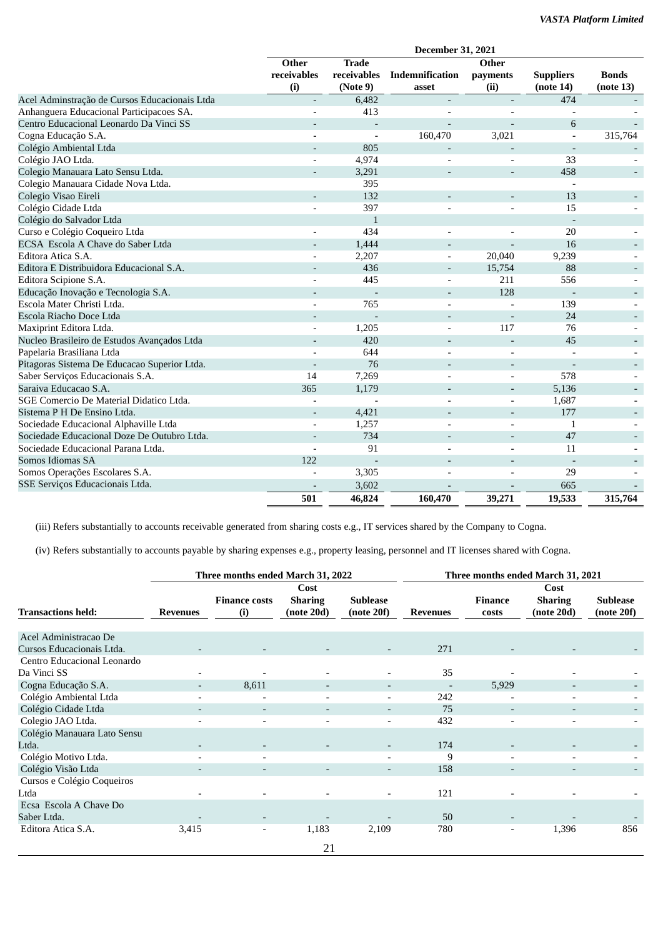|                                               |                          |                | December 31, 2021            |                          |                          |                          |
|-----------------------------------------------|--------------------------|----------------|------------------------------|--------------------------|--------------------------|--------------------------|
|                                               | Other                    | <b>Trade</b>   |                              | Other                    |                          |                          |
|                                               | receivables              | receivables    | Indemnification              | payments                 | <b>Suppliers</b>         | <b>Bonds</b>             |
|                                               | (i)                      | (Note 9)       | asset                        | (ii)                     | (note 14)                | (note 13)                |
| Acel Adminstração de Cursos Educacionais Ltda | $\overline{\phantom{a}}$ | 6,482          |                              |                          | 474                      |                          |
| Anhanguera Educacional Participacoes SA.      |                          | 413            |                              |                          |                          |                          |
| Centro Educacional Leonardo Da Vinci SS       |                          | $\overline{a}$ |                              |                          | 6                        |                          |
| Cogna Educação S.A.                           |                          | $\overline{a}$ | 160,470                      | 3,021                    |                          | 315,764                  |
| Colégio Ambiental Ltda                        |                          | 805            |                              |                          |                          |                          |
| Colégio JAO Ltda.                             | $\overline{\phantom{a}}$ | 4,974          |                              |                          | 33                       |                          |
| Colegio Manauara Lato Sensu Ltda.             |                          | 3,291          |                              | $\overline{\phantom{0}}$ | 458                      | $\sim$                   |
| Colegio Manauara Cidade Nova Ltda.            |                          | 395            |                              |                          | $\overline{\phantom{a}}$ |                          |
| Colegio Visao Eireli                          |                          | 132            | $\qquad \qquad \blacksquare$ | $\overline{\phantom{a}}$ | 13                       |                          |
| Colégio Cidade Ltda                           |                          | 397            |                              | $\overline{a}$           | 15                       |                          |
| Colégio do Salvador Ltda                      |                          | $\mathbf{1}$   |                              |                          |                          |                          |
| Curso e Colégio Coqueiro Ltda                 | $\overline{a}$           | 434            | $\overline{a}$               | $\overline{\phantom{a}}$ | 20                       |                          |
| ECSA Escola A Chave do Saber Ltda             |                          | 1,444          |                              | $\overline{a}$           | 16                       |                          |
| Editora Atica S.A.                            | $\overline{a}$           | 2,207          | $\overline{a}$               | 20,040                   | 9,239                    |                          |
| Editora E Distribuidora Educacional S.A.      |                          | 436            |                              | 15,754                   | 88                       |                          |
| Editora Scipione S.A.                         | $\overline{\phantom{a}}$ | 445            |                              | 211                      | 556                      |                          |
| Educação Inovação e Tecnologia S.A.           | $\overline{a}$           |                | $\overline{\phantom{0}}$     | 128                      | $\overline{\phantom{a}}$ | $\overline{\phantom{a}}$ |
| Escola Mater Christi Ltda.                    |                          | 765            | $\qquad \qquad \blacksquare$ |                          | 139                      | $\overline{\phantom{a}}$ |
| Escola Riacho Doce Ltda                       | $\overline{\phantom{0}}$ |                | $\overline{\phantom{0}}$     |                          | 24                       | $\overline{\phantom{a}}$ |
| Maxiprint Editora Ltda.                       | $\overline{a}$           | 1,205          |                              | 117                      | 76                       |                          |
| Nucleo Brasileiro de Estudos Avançados Ltda   | $\overline{\phantom{a}}$ | 420            |                              | $\overline{\phantom{a}}$ | 45                       | $\overline{\phantom{a}}$ |
| Papelaria Brasiliana Ltda                     |                          | 644            |                              |                          |                          |                          |
| Pitagoras Sistema De Educacao Superior Ltda.  | ÷,                       | 76             | $\qquad \qquad \blacksquare$ | $\overline{\phantom{a}}$ |                          | $\overline{\phantom{a}}$ |
| Saber Serviços Educacionais S.A.              | 14                       | 7,269          |                              |                          | 578                      |                          |
| Saraiva Educacao S.A.                         | 365                      | 1,179          |                              | $\overline{\phantom{a}}$ | 5,136                    |                          |
| SGE Comercio De Material Didatico Ltda.       |                          |                |                              | L,                       | 1,687                    |                          |
| Sistema P H De Ensino Ltda.                   | $\overline{\phantom{a}}$ | 4,421          |                              | $\overline{a}$           | 177                      | $\overline{\phantom{a}}$ |
| Sociedade Educacional Alphaville Ltda         | $\overline{a}$           | 1,257          | $\qquad \qquad \blacksquare$ | $\overline{a}$           | 1                        |                          |
| Sociedade Educacional Doze De Outubro Ltda.   |                          | 734            |                              |                          | 47                       | $\overline{\phantom{a}}$ |
| Sociedade Educacional Parana Ltda.            |                          | 91             |                              | $\overline{a}$           | 11                       |                          |
| Somos Idiomas SA                              | 122                      |                |                              |                          |                          |                          |
| Somos Operações Escolares S.A.                |                          | 3,305          |                              | $\overline{a}$           | 29                       |                          |
| SSE Serviços Educacionais Ltda.               |                          | 3,602          |                              |                          | 665                      |                          |
|                                               | 501                      | 46,824         | 160,470                      | 39,271                   | 19,533                   | 315,764                  |

(iii) Refers substantially to accounts receivable generated from sharing costs e.g., IT services shared by the Company to Cogna.

(iv) Refers substantially to accounts payable by sharing expenses e.g., property leasing, personnel and IT licenses shared with Cogna.

|                             |                          | Three months ended March 31, 2022 |                                      |                               | Three months ended March 31, 2021 |                          |                                      |                               |
|-----------------------------|--------------------------|-----------------------------------|--------------------------------------|-------------------------------|-----------------------------------|--------------------------|--------------------------------------|-------------------------------|
| <b>Transactions held:</b>   | <b>Revenues</b>          | <b>Finance costs</b><br>(i)       | Cost<br><b>Sharing</b><br>(note 20d) | <b>Sublease</b><br>(note 20f) | <b>Revenues</b>                   | Finance<br>costs         | Cost<br><b>Sharing</b><br>(note 20d) | <b>Sublease</b><br>(note 20f) |
|                             |                          |                                   |                                      |                               |                                   |                          |                                      |                               |
| Acel Administracao De       |                          |                                   |                                      |                               |                                   |                          |                                      |                               |
| Cursos Educacionais Ltda.   |                          |                                   |                                      | $\qquad \qquad \blacksquare$  | 271                               |                          |                                      |                               |
| Centro Educacional Leonardo |                          |                                   |                                      |                               |                                   |                          |                                      |                               |
| Da Vinci SS                 |                          |                                   |                                      |                               | 35                                |                          |                                      |                               |
| Cogna Educação S.A.         |                          | 8,611                             | $\overline{\phantom{a}}$             | $\overline{\phantom{a}}$      |                                   | 5,929                    |                                      |                               |
| Colégio Ambiental Ltda      |                          | $\overline{\phantom{a}}$          | $\overline{\phantom{a}}$             | $\overline{\phantom{a}}$      | 242                               | $\overline{\phantom{a}}$ |                                      |                               |
| Colégio Cidade Ltda         |                          | $\overline{\phantom{a}}$          | $\overline{\phantom{a}}$             | $\overline{\phantom{0}}$      | 75                                | $\overline{\phantom{a}}$ | $\overline{\phantom{a}}$             |                               |
| Colegio JAO Ltda.           | $\overline{\phantom{0}}$ | $\overline{\phantom{a}}$          | $\overline{\phantom{a}}$             | -                             | 432                               | -                        | $\overline{\phantom{a}}$             |                               |
| Colégio Manauara Lato Sensu |                          |                                   |                                      |                               |                                   |                          |                                      |                               |
| Ltda.                       |                          | $\overline{\phantom{a}}$          | $\overline{\phantom{a}}$             | $\qquad \qquad \blacksquare$  | 174                               | -                        |                                      |                               |
| Colégio Motivo Ltda.        |                          | $\overline{\phantom{a}}$          |                                      | $\overline{\phantom{0}}$      | 9                                 | -                        | $\overline{\phantom{0}}$             |                               |
| Colégio Visão Ltda          |                          |                                   |                                      | $\overline{\phantom{a}}$      | 158                               |                          |                                      |                               |
| Cursos e Colégio Coqueiros  |                          |                                   |                                      |                               |                                   |                          |                                      |                               |
| Ltda                        |                          |                                   |                                      |                               | 121                               |                          |                                      |                               |
| Ecsa Escola A Chave Do      |                          |                                   |                                      |                               |                                   |                          |                                      |                               |
| Saber Ltda.                 |                          | $\overline{\phantom{a}}$          |                                      |                               | 50                                |                          |                                      |                               |
| Editora Atica S.A.          | 3,415                    | $\overline{\phantom{a}}$          | 1,183                                | 2,109                         | 780                               | $\overline{\phantom{0}}$ | 1,396                                | 856                           |
|                             |                          |                                   | 21                                   |                               |                                   |                          |                                      |                               |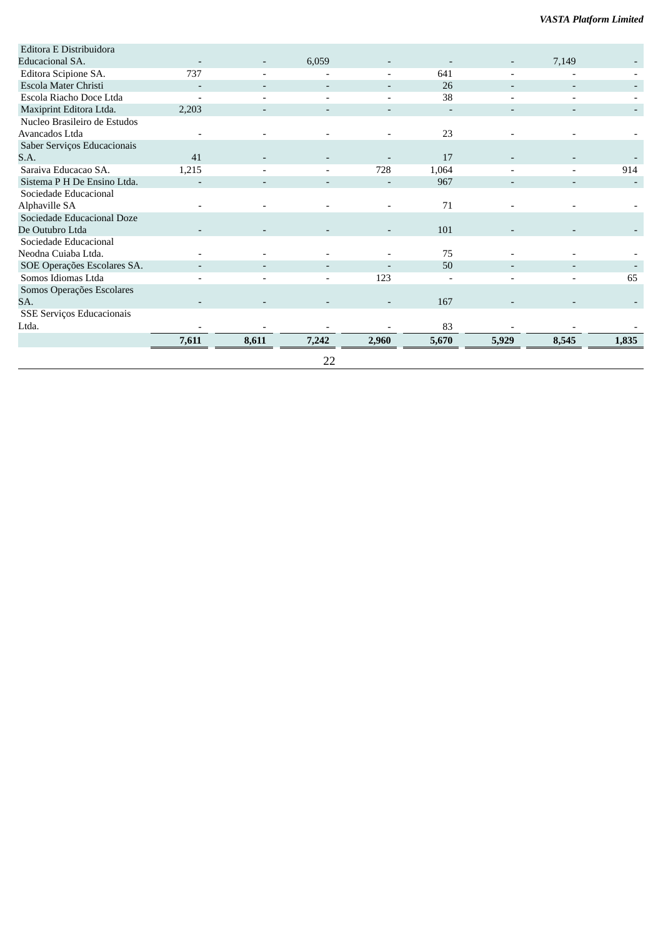| Editora E Distribuidora      |       |                              |                          |                          |       |                          |                          |       |
|------------------------------|-------|------------------------------|--------------------------|--------------------------|-------|--------------------------|--------------------------|-------|
| Educacional SA.              |       |                              | 6,059                    |                          |       |                          | 7,149                    |       |
| Editora Scipione SA.         | 737   |                              |                          |                          | 641   |                          |                          |       |
| Escola Mater Christi         |       | $\overline{\phantom{a}}$     | $\overline{\phantom{a}}$ | $\overline{\phantom{a}}$ | 26    | $\overline{\phantom{a}}$ | $\overline{\phantom{a}}$ |       |
| Escola Riacho Doce Ltda      |       | $\overline{\phantom{0}}$     |                          | $\overline{\phantom{0}}$ | 38    |                          |                          |       |
| Maxiprint Editora Ltda.      | 2,203 |                              |                          |                          |       |                          |                          |       |
| Nucleo Brasileiro de Estudos |       |                              |                          |                          |       |                          |                          |       |
| Avancados Ltda               |       |                              |                          |                          | 23    |                          |                          |       |
| Saber Serviços Educacionais  |       |                              |                          |                          |       |                          |                          |       |
| S.A.                         | 41    |                              |                          |                          | 17    |                          |                          |       |
| Saraiva Educacao SA.         | 1,215 |                              |                          | 728                      | 1,064 |                          |                          | 914   |
| Sistema P H De Ensino Ltda.  |       | $\qquad \qquad \blacksquare$ | $\overline{\phantom{a}}$ |                          | 967   | $\overline{\phantom{a}}$ | $\overline{\phantom{a}}$ |       |
| Sociedade Educacional        |       |                              |                          |                          |       |                          |                          |       |
| Alphaville SA                |       |                              |                          |                          | 71    |                          |                          |       |
| Sociedade Educacional Doze   |       |                              |                          |                          |       |                          |                          |       |
| De Outubro Ltda              |       |                              |                          |                          | 101   |                          |                          |       |
| Sociedade Educacional        |       |                              |                          |                          |       |                          |                          |       |
| Neodna Cuiaba Ltda.          |       |                              |                          |                          | 75    |                          |                          |       |
| SOE Operações Escolares SA.  |       |                              |                          |                          | 50    |                          |                          |       |
| Somos Idiomas Ltda           |       | $\overline{\phantom{0}}$     | $\overline{\phantom{0}}$ | 123                      |       | $\overline{\phantom{a}}$ | $\overline{\phantom{0}}$ | 65    |
| Somos Operações Escolares    |       |                              |                          |                          |       |                          |                          |       |
| SA.                          |       |                              |                          |                          | 167   |                          |                          |       |
| SSE Serviços Educacionais    |       |                              |                          |                          |       |                          |                          |       |
| Ltda.                        |       |                              |                          |                          | 83    |                          |                          |       |
|                              | 7,611 | 8,611                        | 7,242                    | 2,960                    | 5,670 | 5,929                    | 8,545                    | 1,835 |
|                              |       |                              | 22                       |                          |       |                          |                          |       |
|                              |       |                              |                          |                          |       |                          |                          |       |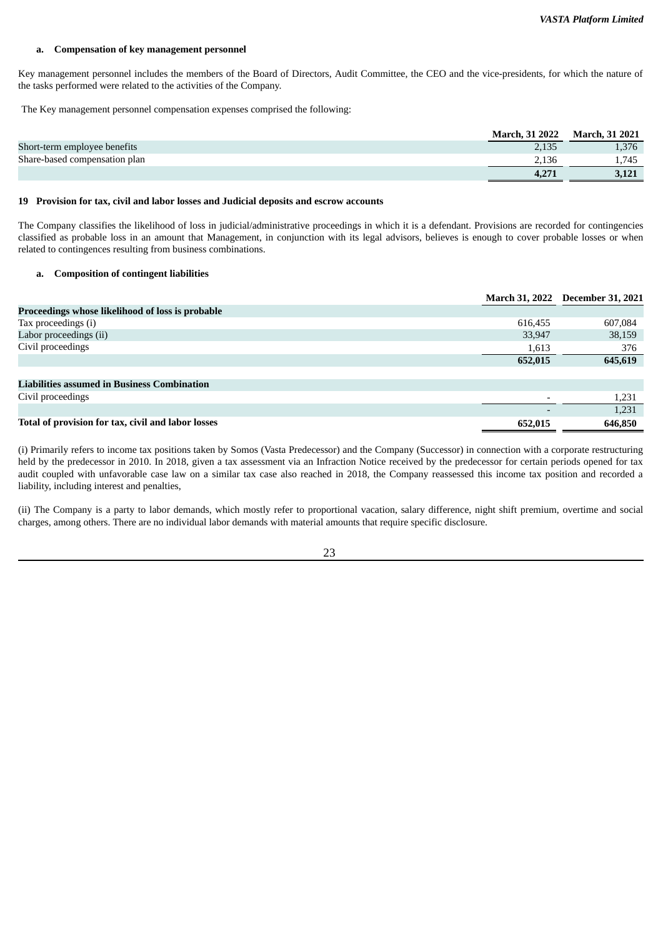#### **a. Compensation of key management personnel**

Key management personnel includes the members of the Board of Directors, Audit Committee, the CEO and the vice-presidents, for which the nature of the tasks performed were related to the activities of the Company.

The Key management personnel compensation expenses comprised the following:

|                               | <b>March, 31 2022</b> | March, 31 2021 |
|-------------------------------|-----------------------|----------------|
| Short-term employee benefits  |                       | 1.376          |
| Share-based compensation plan |                       | .745           |
|                               |                       | 3,121          |

#### **19 Provision for tax, civil and labor losses and Judicial deposits and escrow accounts**

The Company classifies the likelihood of loss in judicial/administrative proceedings in which it is a defendant. Provisions are recorded for contingencies classified as probable loss in an amount that Management, in conjunction with its legal advisors, believes is enough to cover probable losses or when related to contingences resulting from business combinations.

#### **a. Composition of contingent liabilities**

|                                                    |         | March 31, 2022 December 31, 2021 |
|----------------------------------------------------|---------|----------------------------------|
| Proceedings whose likelihood of loss is probable   |         |                                  |
| Tax proceedings (i)                                | 616,455 | 607,084                          |
| Labor proceedings (ii)                             | 33,947  | 38,159                           |
| Civil proceedings                                  | 1,613   | 376                              |
|                                                    | 652,015 | 645,619                          |
|                                                    |         |                                  |
| <b>Liabilities assumed in Business Combination</b> |         |                                  |
| Civil proceedings                                  |         | 1,231                            |
|                                                    |         | 1,231                            |
| Total of provision for tax, civil and labor losses | 652,015 | 646,850                          |

(i) Primarily refers to income tax positions taken by Somos (Vasta Predecessor) and the Company (Successor) in connection with a corporate restructuring held by the predecessor in 2010. In 2018, given a tax assessment via an Infraction Notice received by the predecessor for certain periods opened for tax audit coupled with unfavorable case law on a similar tax case also reached in 2018, the Company reassessed this income tax position and recorded a liability, including interest and penalties,

(ii) The Company is a party to labor demands, which mostly refer to proportional vacation, salary difference, night shift premium, overtime and social charges, among others. There are no individual labor demands with material amounts that require specific disclosure.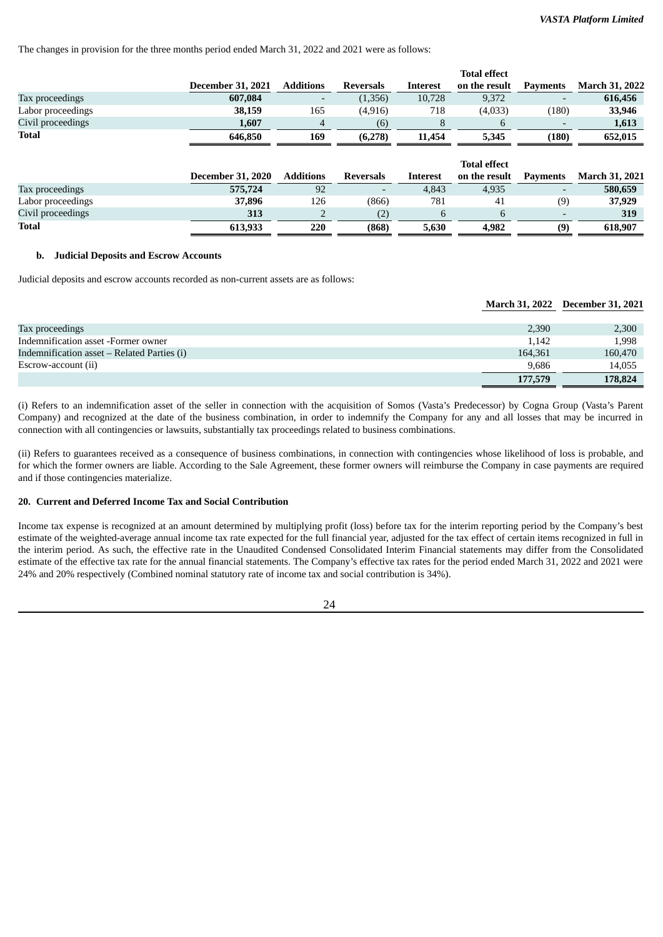The changes in provision for the three months period ended March 31, 2022 and 2021 were as follows:

|         |                                                      |                          |                 | <b>Total effect</b> |                 |                       |
|---------|------------------------------------------------------|--------------------------|-----------------|---------------------|-----------------|-----------------------|
|         | <b>Additions</b>                                     | Reversals                | Interest        | on the result       | <b>Payments</b> | <b>March 31, 2022</b> |
| 607,084 | -                                                    | (1,356)                  | 10,728          | 9,372               | -               | 616,456               |
| 38,159  | 165                                                  | (4, 916)                 | 718             | (4,033)             | (180)           | 33,946                |
| 1,607   | 4                                                    | (6)                      | 8               | b                   |                 | 1,613                 |
| 646,850 | 169                                                  | (6,278)                  | 11,454          | 5,345               | (180)           | 652,015               |
|         |                                                      |                          |                 |                     |                 |                       |
|         |                                                      |                          |                 | <b>Total effect</b> |                 |                       |
|         | <b>Additions</b>                                     | Reversals                | <b>Interest</b> | on the result       | <b>Payments</b> | <b>March 31, 2021</b> |
| 575,724 | 92                                                   | $\overline{\phantom{a}}$ | 4,843           | 4,935               |                 | 580,659               |
| 37,896  | 126                                                  | (866)                    | 781             | 41                  | (9)             | 37,929                |
| 313     |                                                      | (2)                      | 6               | 6                   |                 | 319                   |
| 613.933 | 220                                                  | (868)                    | 5,630           | 4,982               | (9)             | 618,907               |
|         | <b>December 31, 2021</b><br><b>December 31, 2020</b> |                          |                 |                     |                 |                       |

#### **b. Judicial Deposits and Escrow Accounts**

Judicial deposits and escrow accounts recorded as non-current assets are as follows:

#### **March 31, 2022 December 31, 2021**

| Tax proceedings                             | 2,390   | 2,300   |
|---------------------------------------------|---------|---------|
| Indemnification asset -Former owner         | 1,142   | 1,998   |
| Indemnification asset – Related Parties (i) | 164.361 | 160,470 |
| Escrow-account (ii)                         | 9.686   | 14,055  |
|                                             | 177,579 | 178,824 |

(i) Refers to an indemnification asset of the seller in connection with the acquisition of Somos (Vasta's Predecessor) by Cogna Group (Vasta's Parent Company) and recognized at the date of the business combination, in order to indemnify the Company for any and all losses that may be incurred in connection with all contingencies or lawsuits, substantially tax proceedings related to business combinations.

(ii) Refers to guarantees received as a consequence of business combinations, in connection with contingencies whose likelihood of loss is probable, and for which the former owners are liable. According to the Sale Agreement, these former owners will reimburse the Company in case payments are required and if those contingencies materialize.

# **20. Current and Deferred Income Tax and Social Contribution**

Income tax expense is recognized at an amount determined by multiplying profit (loss) before tax for the interim reporting period by the Company's best estimate of the weighted-average annual income tax rate expected for the full financial year, adjusted for the tax effect of certain items recognized in full in the interim period. As such, the effective rate in the Unaudited Condensed Consolidated Interim Financial statements may differ from the Consolidated estimate of the effective tax rate for the annual financial statements. The Company's effective tax rates for the period ended March 31, 2022 and 2021 were 24% and 20% respectively (Combined nominal statutory rate of income tax and social contribution is 34%).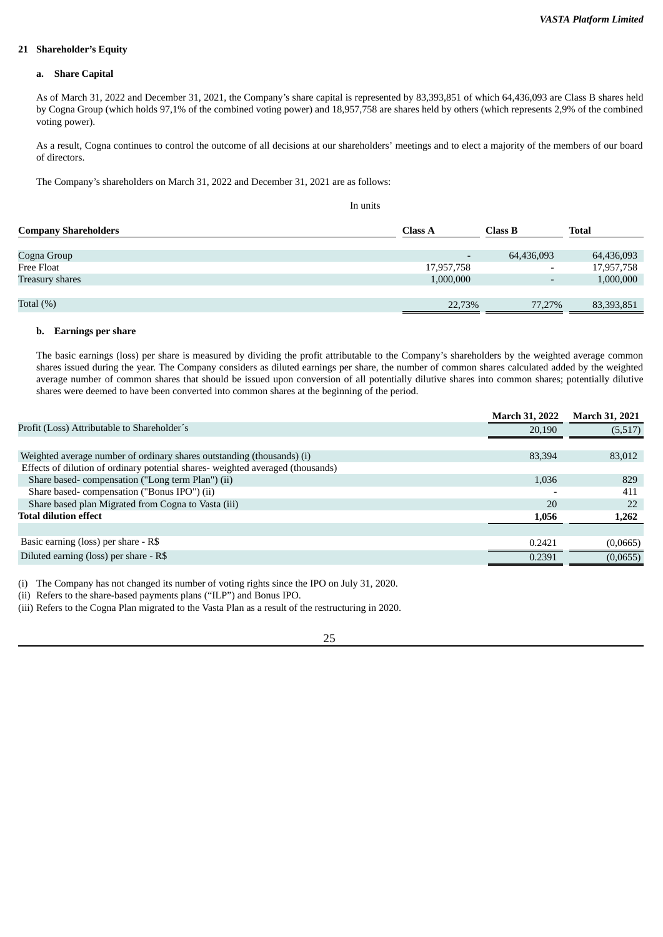#### **21 Shareholder's Equity**

#### **a. Share Capital**

As of March 31, 2022 and December 31, 2021, the Company's share capital is represented by 83,393,851 of which 64,436,093 are Class B shares held by Cogna Group (which holds 97,1% of the combined voting power) and 18,957,758 are shares held by others (which represents 2,9% of the combined voting power).

As a result, Cogna continues to control the outcome of all decisions at our shareholders' meetings and to elect a majority of the members of our board of directors.

The Company's shareholders on March 31, 2022 and December 31, 2021 are as follows:

In units

| <b>Company Shareholders</b> | <b>Class A</b>           | Class B                  | <b>Total</b> |
|-----------------------------|--------------------------|--------------------------|--------------|
| Cogna Group                 | $\overline{\phantom{a}}$ | 64,436,093               | 64,436,093   |
| Free Float                  | 17,957,758               | $\overline{\phantom{0}}$ | 17,957,758   |
| <b>Treasury shares</b>      | 1,000,000                | $\overline{\phantom{0}}$ | 1,000,000    |
|                             |                          |                          |              |
| Total $(\%)$                | 22,73%                   | 77,27%                   | 83,393,851   |

#### **b. Earnings per share**

The basic earnings (loss) per share is measured by dividing the profit attributable to the Company's shareholders by the weighted average common shares issued during the year. The Company considers as diluted earnings per share, the number of common shares calculated added by the weighted average number of common shares that should be issued upon conversion of all potentially dilutive shares into common shares; potentially dilutive shares were deemed to have been converted into common shares at the beginning of the period.

|                                                                                 | <b>March 31, 2022</b>    | <b>March 31, 2021</b> |
|---------------------------------------------------------------------------------|--------------------------|-----------------------|
| Profit (Loss) Attributable to Shareholder's                                     | 20,190                   | (5,517)               |
|                                                                                 |                          |                       |
| Weighted average number of ordinary shares outstanding (thousands) (i)          | 83,394                   | 83,012                |
| Effects of dilution of ordinary potential shares- weighted averaged (thousands) |                          |                       |
| Share based-compensation ("Long term Plan") (ii)                                | 1,036                    | 829                   |
| Share based-compensation ("Bonus IPO") (ii)                                     | $\overline{\phantom{0}}$ | 411                   |
| Share based plan Migrated from Cogna to Vasta (iii)                             | 20                       | 22                    |
| <b>Total dilution effect</b>                                                    | 1,056                    | 1,262                 |
|                                                                                 |                          |                       |
| Basic earning (loss) per share - R\$                                            | 0.2421                   | (0,0665)              |
| Diluted earning (loss) per share - R\$                                          | 0.2391                   | (0,0655)              |
|                                                                                 |                          |                       |

(i) The Company has not changed its number of voting rights since the IPO on July 31, 2020.

(ii) Refers to the share-based payments plans ("ILP") and Bonus IPO.

(iii) Refers to the Cogna Plan migrated to the Vasta Plan as a result of the restructuring in 2020.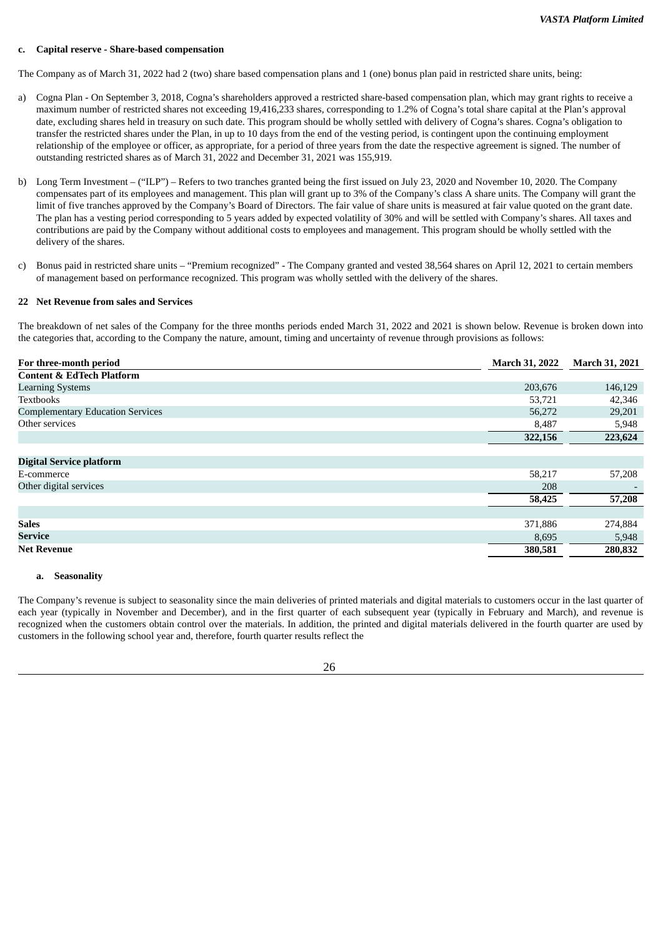#### **c. Capital reserve - Share-based compensation**

The Company as of March 31, 2022 had 2 (two) share based compensation plans and 1 (one) bonus plan paid in restricted share units, being:

- a) Cogna Plan On September 3, 2018, Cogna's shareholders approved a restricted share-based compensation plan, which may grant rights to receive a maximum number of restricted shares not exceeding 19,416,233 shares, corresponding to 1.2% of Cogna's total share capital at the Plan's approval date, excluding shares held in treasury on such date. This program should be wholly settled with delivery of Cogna's shares. Cogna's obligation to transfer the restricted shares under the Plan, in up to 10 days from the end of the vesting period, is contingent upon the continuing employment relationship of the employee or officer, as appropriate, for a period of three years from the date the respective agreement is signed. The number of outstanding restricted shares as of March 31, 2022 and December 31, 2021 was 155,919.
- b) Long Term Investment ("ILP") Refers to two tranches granted being the first issued on July 23, 2020 and November 10, 2020. The Company compensates part of its employees and management. This plan will grant up to 3% of the Company's class A share units. The Company will grant the limit of five tranches approved by the Company's Board of Directors. The fair value of share units is measured at fair value quoted on the grant date. The plan has a vesting period corresponding to 5 years added by expected volatility of 30% and will be settled with Company's shares. All taxes and contributions are paid by the Company without additional costs to employees and management. This program should be wholly settled with the delivery of the shares.
- c) Bonus paid in restricted share units "Premium recognized" The Company granted and vested 38,564 shares on April 12, 2021 to certain members of management based on performance recognized. This program was wholly settled with the delivery of the shares.

#### **22 Net Revenue from sales and Services**

The breakdown of net sales of the Company for the three months periods ended March 31, 2022 and 2021 is shown below. Revenue is broken down into the categories that, according to the Company the nature, amount, timing and uncertainty of revenue through provisions as follows:

| For three-month period                  | <b>March 31, 2022</b> | <b>March 31, 2021</b> |
|-----------------------------------------|-----------------------|-----------------------|
| <b>Content &amp; EdTech Platform</b>    |                       |                       |
| <b>Learning Systems</b>                 | 203,676               | 146,129               |
| <b>Textbooks</b>                        | 53,721                | 42,346                |
| <b>Complementary Education Services</b> | 56,272                | 29,201                |
| Other services                          | 8,487                 | 5,948                 |
|                                         | 322,156               | 223,624               |
|                                         |                       |                       |
| <b>Digital Service platform</b>         |                       |                       |
| E-commerce                              | 58,217                | 57,208                |
| Other digital services                  | 208                   |                       |
|                                         | 58,425                | 57,208                |
|                                         |                       |                       |
| <b>Sales</b>                            | 371,886               | 274,884               |
| Service                                 | 8,695                 | 5,948                 |
| <b>Net Revenue</b>                      | 380,581               | 280,832               |

#### **a. Seasonality**

The Company's revenue is subject to seasonality since the main deliveries of printed materials and digital materials to customers occur in the last quarter of each year (typically in November and December), and in the first quarter of each subsequent year (typically in February and March), and revenue is recognized when the customers obtain control over the materials. In addition, the printed and digital materials delivered in the fourth quarter are used by customers in the following school year and, therefore, fourth quarter results reflect the

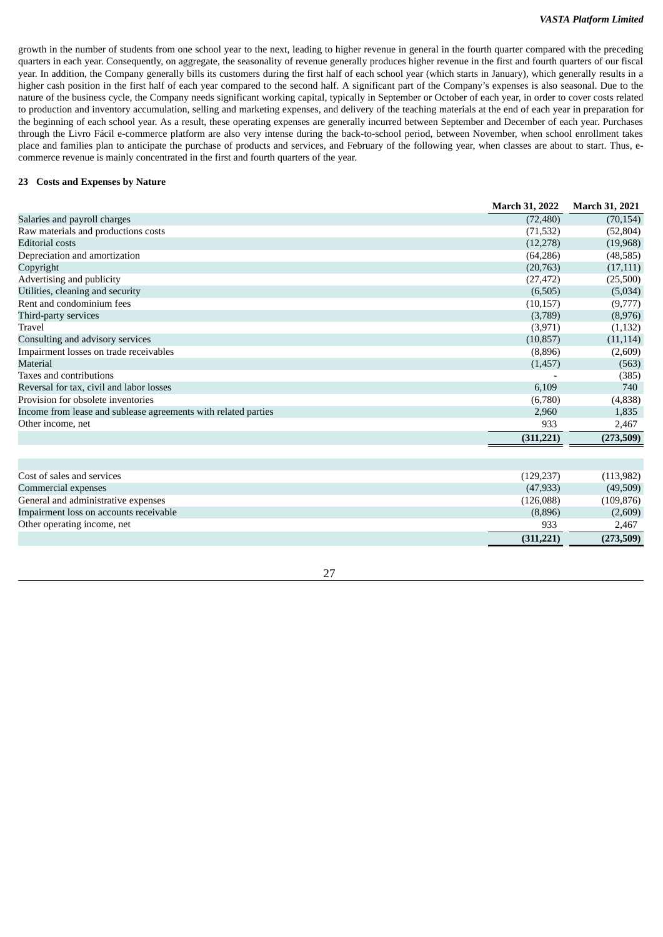growth in the number of students from one school year to the next, leading to higher revenue in general in the fourth quarter compared with the preceding quarters in each year. Consequently, on aggregate, the seasonality of revenue generally produces higher revenue in the first and fourth quarters of our fiscal year. In addition, the Company generally bills its customers during the first half of each school year (which starts in January), which generally results in a higher cash position in the first half of each year compared to the second half. A significant part of the Company's expenses is also seasonal. Due to the nature of the business cycle, the Company needs significant working capital, typically in September or October of each year, in order to cover costs related to production and inventory accumulation, selling and marketing expenses, and delivery of the teaching materials at the end of each year in preparation for the beginning of each school year. As a result, these operating expenses are generally incurred between September and December of each year. Purchases through the Livro Fácil e-commerce platform are also very intense during the back-to-school period, between November, when school enrollment takes place and families plan to anticipate the purchase of products and services, and February of the following year, when classes are about to start. Thus, ecommerce revenue is mainly concentrated in the first and fourth quarters of the year.

# **23 Costs and Expenses by Nature**

|                                                                | <b>March 31, 2022</b> | <b>March 31, 2021</b> |
|----------------------------------------------------------------|-----------------------|-----------------------|
| Salaries and payroll charges                                   | (72, 480)             | (70, 154)             |
| Raw materials and productions costs                            | (71, 532)             | (52, 804)             |
| <b>Editorial costs</b>                                         | (12, 278)             | (19,968)              |
| Depreciation and amortization                                  | (64, 286)             | (48, 585)             |
| Copyright                                                      | (20, 763)             | (17, 111)             |
| Advertising and publicity                                      | (27, 472)             | (25,500)              |
| Utilities, cleaning and security                               | (6,505)               | (5,034)               |
| Rent and condominium fees                                      | (10, 157)             | (9,777)               |
| Third-party services                                           | (3,789)               | (8,976)               |
| Travel                                                         | (3,971)               | (1,132)               |
| Consulting and advisory services                               | (10, 857)             | (11, 114)             |
| Impairment losses on trade receivables                         | (8,896)               | (2,609)               |
| Material                                                       | (1,457)               | (563)                 |
| Taxes and contributions                                        |                       | (385)                 |
| Reversal for tax, civil and labor losses                       | 6,109                 | 740                   |
| Provision for obsolete inventories                             | (6,780)               | (4,838)               |
| Income from lease and sublease agreements with related parties | 2,960                 | 1,835                 |
| Other income, net                                              | 933                   | 2,467                 |
|                                                                | (311, 221)            | (273,509)             |
|                                                                |                       |                       |
|                                                                |                       |                       |
| Cost of sales and services                                     | (129, 237)            | (113, 982)            |
| Commercial expenses                                            | (47, 933)             | (49,509)              |
| $C_{\rm{2}}$ and and administration and constant               | (12C,000)             | (100.07C)             |

|                                        | (311.221) | (273,509)    |
|----------------------------------------|-----------|--------------|
| Other operating income, net            | 933       | 2.467        |
| Impairment loss on accounts receivable | (8,896)   | (2,609)      |
| General and administrative expenses    | (126.088) | (109, 876)   |
| Commicicial evhelises                  | (47,000)  | $1 + 5.5051$ |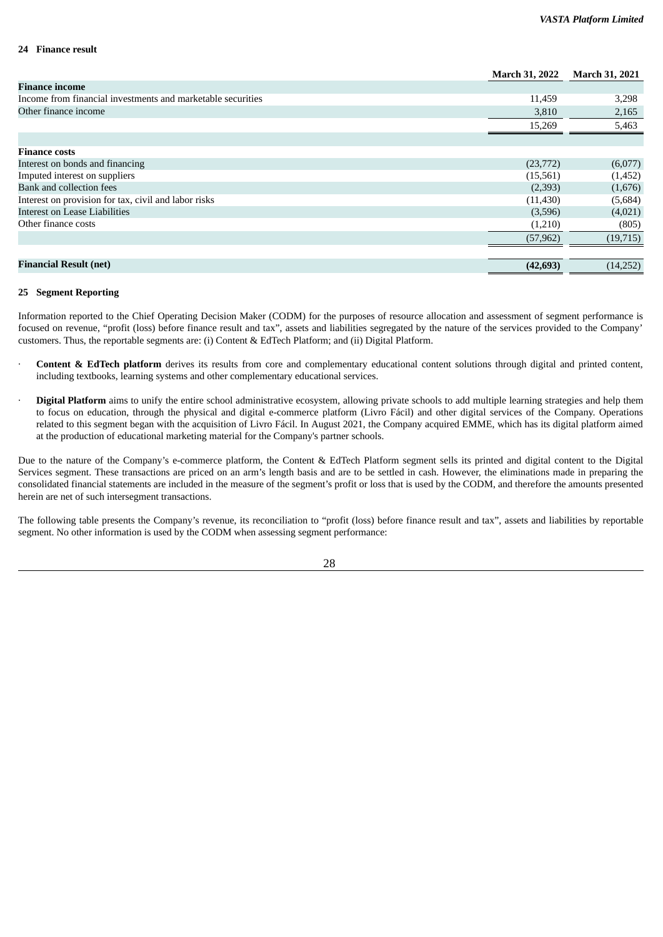#### **24 Finance result**

|                                                             | <b>March 31, 2022</b> | <b>March 31, 2021</b> |
|-------------------------------------------------------------|-----------------------|-----------------------|
| <b>Finance income</b>                                       |                       |                       |
| Income from financial investments and marketable securities | 11,459                | 3,298                 |
| Other finance income                                        | 3,810                 | 2,165                 |
|                                                             | 15,269                | 5,463                 |
|                                                             |                       |                       |
| <b>Finance costs</b>                                        |                       |                       |
| Interest on bonds and financing                             | (23, 772)             | (6,077)               |
| Imputed interest on suppliers                               | (15, 561)             | (1,452)               |
| Bank and collection fees                                    | (2,393)               | (1,676)               |
| Interest on provision for tax, civil and labor risks        | (11, 430)             | (5,684)               |
| <b>Interest on Lease Liabilities</b>                        | (3,596)               | (4,021)               |
| Other finance costs                                         | (1,210)               | (805)                 |
|                                                             | (57, 962)             | (19, 715)             |
|                                                             |                       |                       |
| <b>Financial Result (net)</b>                               | (42, 693)             | (14,252)              |

#### **25 Segment Reporting**

Information reported to the Chief Operating Decision Maker (CODM) for the purposes of resource allocation and assessment of segment performance is focused on revenue, "profit (loss) before finance result and tax", assets and liabilities segregated by the nature of the services provided to the Company' customers. Thus, the reportable segments are: (i) Content & EdTech Platform; and (ii) Digital Platform.

- · **Content & EdTech platform** derives its results from core and complementary educational content solutions through digital and printed content, including textbooks, learning systems and other complementary educational services.
- **Digital Platform** aims to unify the entire school administrative ecosystem, allowing private schools to add multiple learning strategies and help them to focus on education, through the physical and digital e-commerce platform (Livro Fácil) and other digital services of the Company. Operations related to this segment began with the acquisition of Livro Fácil. In August 2021, the Company acquired EMME, which has its digital platform aimed at the production of educational marketing material for the Company's partner schools.

Due to the nature of the Company's e-commerce platform, the Content & EdTech Platform segment sells its printed and digital content to the Digital Services segment. These transactions are priced on an arm's length basis and are to be settled in cash. However, the eliminations made in preparing the consolidated financial statements are included in the measure of the segment's profit or loss that is used by the CODM, and therefore the amounts presented herein are net of such intersegment transactions.

The following table presents the Company's revenue, its reconciliation to "profit (loss) before finance result and tax", assets and liabilities by reportable segment. No other information is used by the CODM when assessing segment performance: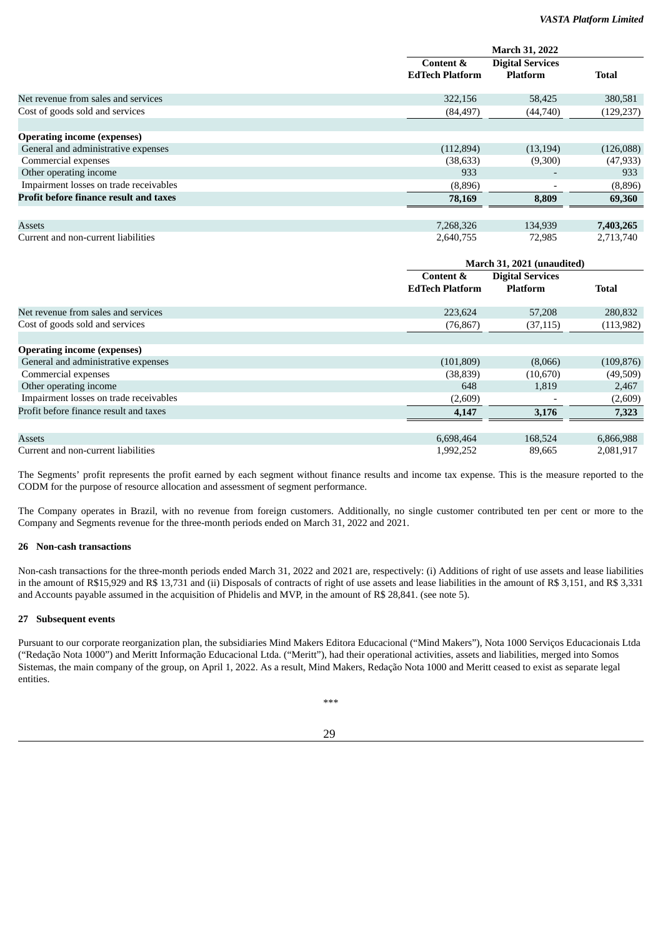|                                               |                                     | <b>March 31, 2022</b>                      |              |
|-----------------------------------------------|-------------------------------------|--------------------------------------------|--------------|
|                                               | Content &<br><b>EdTech Platform</b> | <b>Digital Services</b><br><b>Platform</b> | <b>Total</b> |
| Net revenue from sales and services           | 322,156                             | 58,425                                     | 380,581      |
| Cost of goods sold and services               | (84, 497)                           | (44,740)                                   | (129, 237)   |
| <b>Operating income (expenses)</b>            |                                     |                                            |              |
| General and administrative expenses           | (112,894)                           | (13, 194)                                  | (126,088)    |
| Commercial expenses                           | (38, 633)                           | (9,300)                                    | (47, 933)    |
| Other operating income                        | 933                                 | $\overline{\phantom{a}}$                   | 933          |
| Impairment losses on trade receivables        | (8,896)                             | $\overline{\phantom{0}}$                   | (8,896)      |
| <b>Profit before finance result and taxes</b> | 78,169                              | 8,809                                      | 69,360       |
|                                               |                                     |                                            |              |
| Assets                                        | 7,268,326                           | 134,939                                    | 7,403,265    |
| Current and non-current liabilities           | 2,640,755                           | 72,985                                     | 2,713,740    |

|                                        |                                     | March 31, 2021 (unaudited)                 |              |
|----------------------------------------|-------------------------------------|--------------------------------------------|--------------|
|                                        | Content &<br><b>EdTech Platform</b> | <b>Digital Services</b><br><b>Platform</b> | <b>Total</b> |
| Net revenue from sales and services    | 223,624                             | 57,208                                     | 280,832      |
| Cost of goods sold and services        | (76, 867)                           | (37, 115)                                  | (113, 982)   |
| <b>Operating income (expenses)</b>     |                                     |                                            |              |
| General and administrative expenses    | (101, 809)                          | (8,066)                                    | (109, 876)   |
| Commercial expenses                    | (38, 839)                           | (10,670)                                   | (49,509)     |
| Other operating income                 | 648                                 | 1,819                                      | 2,467        |
| Impairment losses on trade receivables | (2,609)                             |                                            | (2,609)      |
| Profit before finance result and taxes | 4,147                               | 3,176                                      | 7,323        |
|                                        |                                     |                                            |              |
| <b>Assets</b>                          | 6,698,464                           | 168,524                                    | 6,866,988    |
| Current and non-current liabilities    | 1,992,252                           | 89.665                                     | 2.081.917    |

The Segments' profit represents the profit earned by each segment without finance results and income tax expense. This is the measure reported to the CODM for the purpose of resource allocation and assessment of segment performance.

The Company operates in Brazil, with no revenue from foreign customers. Additionally, no single customer contributed ten per cent or more to the Company and Segments revenue for the three-month periods ended on March 31, 2022 and 2021.

#### **26 Non-cash transactions**

Non-cash transactions for the three-month periods ended March 31, 2022 and 2021 are, respectively: (i) Additions of right of use assets and lease liabilities in the amount of R\$15,929 and R\$ 13,731 and (ii) Disposals of contracts of right of use assets and lease liabilities in the amount of R\$ 3,151, and R\$ 3,331 and Accounts payable assumed in the acquisition of Phidelis and MVP, in the amount of R\$ 28,841. (see note 5).

#### **27 Subsequent events**

Pursuant to our corporate reorganization plan, the subsidiaries Mind Makers Editora Educacional ("Mind Makers"), Nota 1000 Serviços Educacionais Ltda ("Redação Nota 1000") and Meritt Informação Educacional Ltda. ("Meritt"), had their operational activities, assets and liabilities, merged into Somos Sistemas, the main company of the group, on April 1, 2022. As a result, Mind Makers, Redação Nota 1000 and Meritt ceased to exist as separate legal entities.

\*\*\*